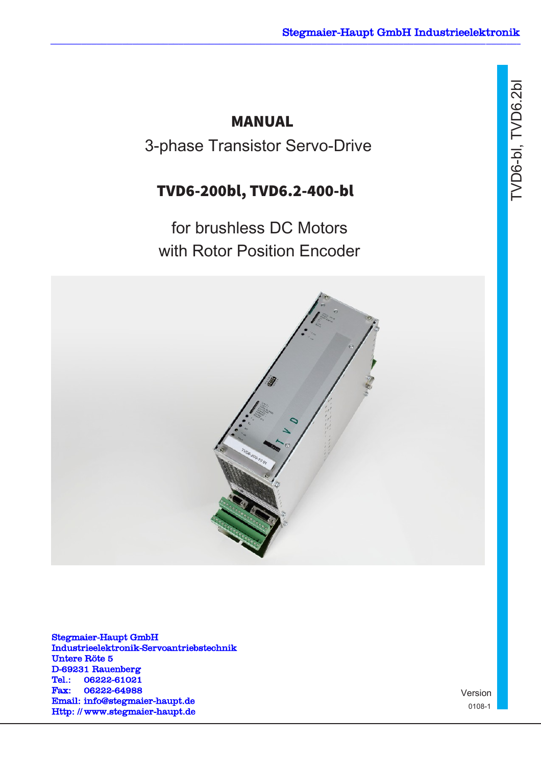# MANUAL

3-phase Transistor Servo-Drive

# TVD6-200bl, TVD6.2-400-bl

for brushless DC Motors with Rotor Position Encoder



Stegmaier-Haupt GmbH Industrieelektronik-Servoantriebstechnik Untere Röte 5 D-69231 Rauenberg Tel.: 06222-61021 Fax: 06222-64988 Email: [info@stegmaier-haupt.de](mailto:info@stegmaier-haupt.de) Http: // [www.stegmaier-haupt.de](http://www.stegmaier-haupt.de/)

Version 0108-1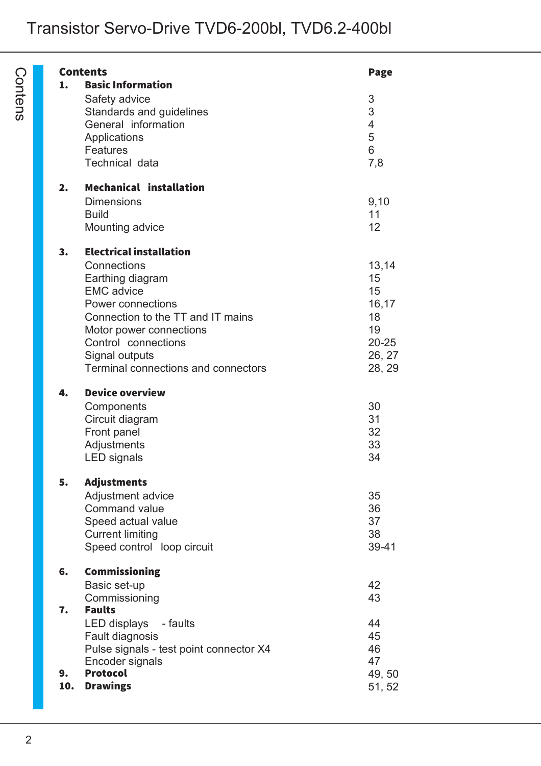|     | <b>Contents</b>                               | Page                     |
|-----|-----------------------------------------------|--------------------------|
| 1.  | <b>Basic Information</b>                      |                          |
|     | Safety advice                                 | 3                        |
|     | Standards and guidelines                      | 3                        |
|     | General information                           | $\overline{\mathcal{A}}$ |
|     | Applications                                  |                          |
|     | <b>Features</b>                               | $\frac{5}{6}$            |
|     | Technical data                                | 7,8                      |
| 2.  | <b>Mechanical installation</b>                |                          |
|     | <b>Dimensions</b>                             | 9,10                     |
|     | <b>Build</b>                                  | 11                       |
|     | Mounting advice                               | 12                       |
| 3.  | <b>Electrical installation</b>                |                          |
|     | Connections                                   | 13,14                    |
|     | Earthing diagram                              | 15                       |
|     | <b>EMC</b> advice                             | 15                       |
|     | Power connections                             | 16,17                    |
|     | Connection to the TT and IT mains             | 18                       |
|     | Motor power connections                       | 19                       |
|     | Control connections                           | $20 - 25$                |
|     | Signal outputs                                | 26, 27                   |
|     | Terminal connections and connectors           | 28, 29                   |
| 4.  | <b>Device overview</b>                        |                          |
|     | Components                                    | 30                       |
|     | Circuit diagram                               | 31                       |
|     | Front panel                                   | 32                       |
|     | Adjustments                                   | 33                       |
|     | <b>LED</b> signals                            | 34                       |
| 5.  | <b>Adjustments</b>                            |                          |
|     | Adjustment advice<br>Command value            | 35                       |
|     |                                               | 36<br>37                 |
|     | Speed actual value<br><b>Current limiting</b> | 38                       |
|     | Speed control loop circuit                    | 39-41                    |
|     |                                               |                          |
| 6.  | <b>Commissioning</b>                          |                          |
|     | Basic set-up                                  | 42                       |
|     | Commissioning                                 | 43                       |
| 7.  | <b>Faults</b>                                 |                          |
|     | LED displays<br>- faults                      | 44                       |
|     | Fault diagnosis                               | 45                       |
|     | Pulse signals - test point connector X4       | 46                       |
|     | Encoder signals                               | 47                       |
| 9.  | <b>Protocol</b>                               | 49, 50                   |
| 10. | <b>Drawings</b>                               | 51, 52                   |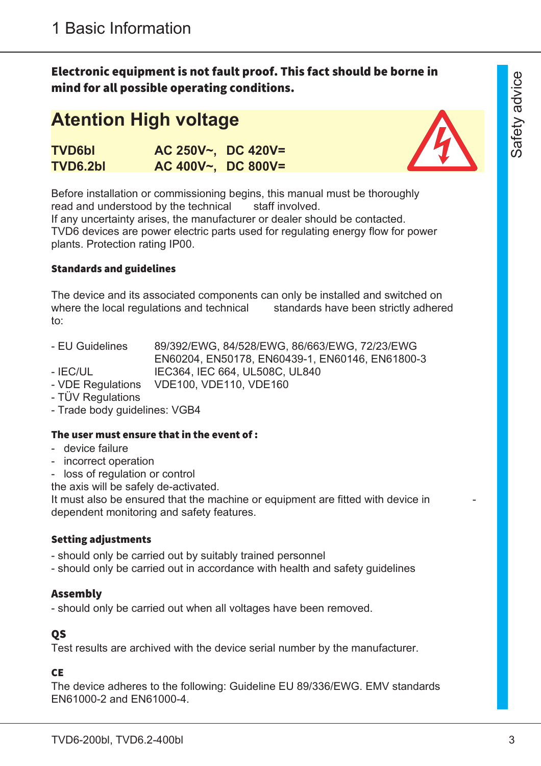Electronic equipment is not fault proof. This fact should be borne in mind for all possible operating conditions.

# **Atention High voltage**

| <b>TVD6bl</b> | $AC 250V \sim$ , DC 420V= |  |
|---------------|---------------------------|--|
| TVD6.2bl      | $AC$ 400V~, DC 800V=      |  |



Before installation or commissioning begins, this manual must be thoroughly read and understood by the technical staff involved.

If any uncertainty arises, the manufacturer or dealer should be contacted. TVD6 devices are power electric parts used for regulating energy flow for power plants. Protection rating IP00.

#### Standards and guidelines

The device and its associated components can only be installed and switched on where the local regulations and technical standards have been strictly adhered to:

- EU Guidelines 89/392/EWG, 84/528/EWG, 86/663/EWG, 72/23/EWG EN60204, EN50178, EN60439-1, EN60146, EN61800-3
- IEC/UL IEC364, IEC 664, UL508C, UL840
- VDE Regulations VDE100, VDE110, VDE160
- TÜV Regulations
- Trade body guidelines: VGB4

#### The user must ensure that in the event of :

- device failure
- incorrect operation
- loss of regulation or control

the axis will be safely de-activated.

It must also be ensured that the machine or equipment are fitted with device in dependent monitoring and safety features.

#### Setting adjustments

- should only be carried out by suitably trained personnel
- should only be carried out in accordance with health and safety guidelines

# Assembly

- should only be carried out when all voltages have been removed.

# QS

Test results are archived with the device serial number by the manufacturer.

### **CE**

The device adheres to the following: Guideline EU 89/336/EWG. EMV standards EN61000-2 and EN61000-4.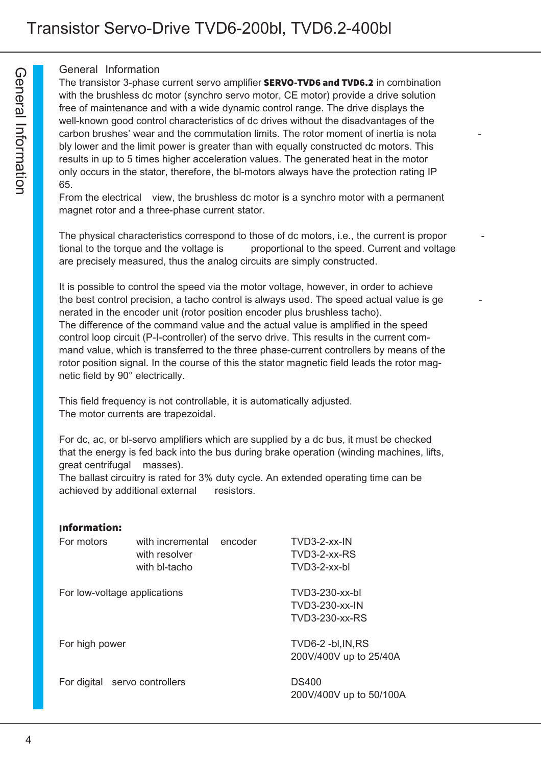#### General Information

The transistor 3-phase current servo amplifier **SERVO-TVD6 and TVD6.2** in combination with the brushless dc motor (synchro servo motor, CE motor) provide a drive solution free of maintenance and with a wide dynamic control range. The drive displays the well-known good control characteristics of dc drives without the disadvantages of the carbon brushes' wear and the commutation limits. The rotor moment of inertia is nota bly lower and the limit power is greater than with equally constructed dc motors. This results in up to 5 times higher acceleration values. The generated heat in the motor only occurs in the stator, therefore, the bl-motors always have the protection rating IP 65.

From the electrical view, the brushless dc motor is a synchro motor with a permanent magnet rotor and a three-phase current stator.

The physical characteristics correspond to those of dc motors, i.e., the current is propor tional to the torque and the voltage is proportional to the speed. Current and voltage are precisely measured, thus the analog circuits are simply constructed.

It is possible to control the speed via the motor voltage, however, in order to achieve the best control precision, a tacho control is always used. The speed actual value is ge nerated in the encoder unit (rotor position encoder plus brushless tacho). The difference of the command value and the actual value is amplified in the speed control loop circuit (P-I-controller) of the servo drive. This results in the current command value, which is transferred to the three phase-current controllers by means of the rotor position signal. In the course of this the stator magnetic field leads the rotor magnetic field by 90° electrically.

This field frequency is not controllable, it is automatically adjusted. The motor currents are trapezoidal.

For dc, ac, or bl-servo amplifiers which are supplied by a dc bus, it must be checked that the energy is fed back into the bus during brake operation (winding machines, lifts, great centrifugal masses).

The ballast circuitry is rated for 3% duty cycle. An extended operating time can be achieved by additional external resistors.

| <b>Information:</b>           |                                                    |         |                                                    |
|-------------------------------|----------------------------------------------------|---------|----------------------------------------------------|
| For motors                    | with incremental<br>with resolver<br>with bl-tacho | encoder | $TVD3-2-xx-IN$<br>TVD3-2-xx-RS<br>$TVD3-2-xx-hl$   |
| For low-voltage applications  |                                                    |         | TVD3-230-xx-bl<br>TVD3-230-xx-IN<br>TVD3-230-xx-RS |
| For high power                |                                                    |         | TVD6-2 -bl, IN, RS<br>200V/400V up to 25/40A       |
| For digital servo controllers |                                                    |         | <b>DS400</b><br>200V/400V up to 50/100A            |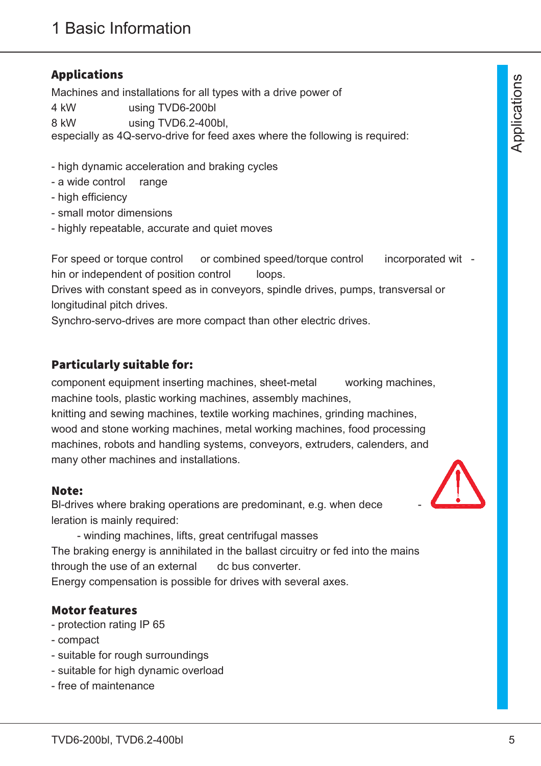# Applications

Machines and installations for all types with a drive power of 4 kW using TVD6-200bl 8 kW using TVD6.2-400bl, especially as 4Q-servo-drive for feed axes where the following is required:

- high dynamic acceleration and braking cycles
- a wide control range
- high efficiency
- small motor dimensions
- highly repeatable, accurate and quiet moves

For speed or torque control or combined speed/torque control incorporated wit hin or independent of position control loops.

Drives with constant speed as in conveyors, spindle drives, pumps, transversal or longitudinal pitch drives.

Synchro-servo-drives are more compact than other electric drives.

# Particularly suitable for:

component equipment inserting machines, sheet-metal working machines, machine tools, plastic working machines, assembly machines,

knitting and sewing machines, textile working machines, grinding machines, wood and stone working machines, metal working machines, food processing machines, robots and handling systems, conveyors, extruders, calenders, and many other machines and installations.

# Note:

BI-drives where braking operations are predominant, e.g. when dece leration is mainly required:



- winding machines, lifts, great centrifugal masses The braking energy is annihilated in the ballast circuitry or fed into the mains through the use of an external dc bus converter. Energy compensation is possible for drives with several axes.

# Motor features

- protection rating IP 65
- compact
- suitable for rough surroundings
- suitable for high dynamic overload
- free of maintenance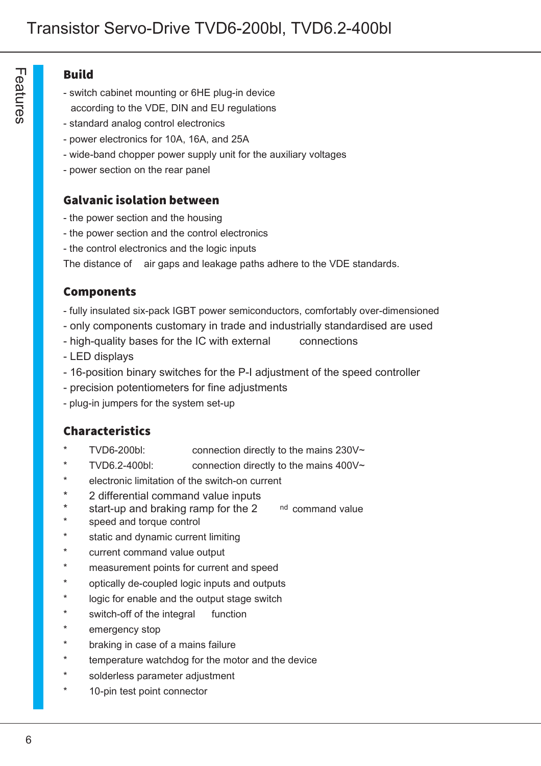#### Build

- switch cabinet mounting or 6HE plug-in device
- according to the VDE, DIN and EU regulations
- standard analog control electronics
- power electronics for 10A, 16A, and 25A
- wide-band chopper power supply unit for the auxiliary voltages
- power section on the rear panel

# Galvanic isolation between

- the power section and the housing
- the power section and the control electronics
- the control electronics and the logic inputs

The distance of air gaps and leakage paths adhere to the VDE standards.

# Components

- fully insulated six-pack IGBT power semiconductors, comfortably over-dimensioned
- only components customary in trade and industrially standardised are used
- high-quality bases for the IC with external connections
- LED displays
- 16-position binary switches for the P-I adjustment of the speed controller
- precision potentiometers for fine adjustments
- plug-in jumpers for the system set-up

# Characteristics

- TVD6-200bl: connection directly to the mains  $230V~$
- TVD6.2-400bl: connection directly to the mains  $400V~$
- electronic limitation of the switch-on current
- 2 differential command value inputs
- start-up and braking ramp for the  $2^{nd}$  command value
- speed and torque control
- static and dynamic current limiting
- current command value output
- measurement points for current and speed
- optically de-coupled logic inputs and outputs
- logic for enable and the output stage switch
- switch-off of the integral function
- emergency stop
- braking in case of a mains failure
- temperature watchdog for the motor and the device
- solderless parameter adjustment
- 10-pin test point connector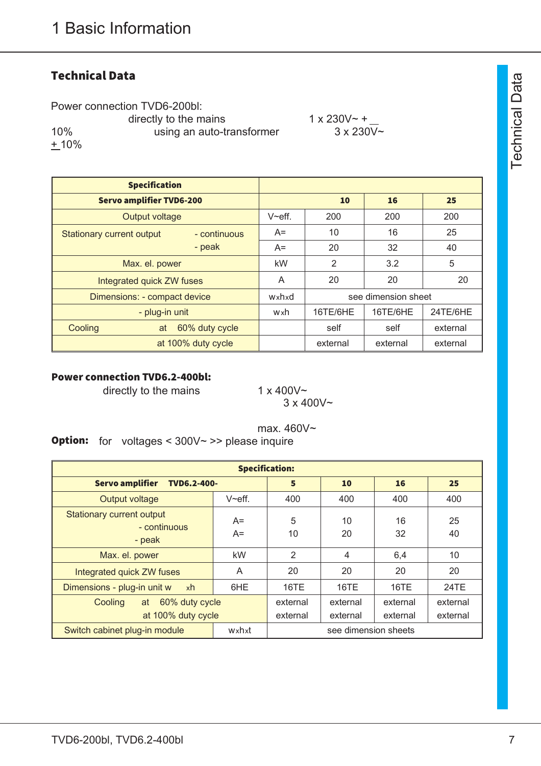# **Technical Data**

Power connection TVD6-200bl: directly to the mains  $1 \times 230V \sim +$ 10% using an auto-transformer 3 x 230V~  $+ 10%$ 

| <b>Specification</b>             |                           |               |                     |          |          |
|----------------------------------|---------------------------|---------------|---------------------|----------|----------|
| <b>Servo amplifier TVD6-200</b>  |                           |               | 10                  | 16       | 25       |
| Output voltage                   |                           | $V \sim$ eff. | 200                 | 200      | 200      |
| <b>Stationary current output</b> | - continuous              | $A=$          | 10                  | 16       | 25       |
|                                  | - peak                    | $A=$          | 20                  | 32       | 40       |
| Max. el. power                   |                           | kW            | $\overline{2}$      | 3.2      | 5        |
|                                  | Integrated quick ZW fuses |               | 20                  | 20       | 20       |
| Dimensions: - compact device     |                           | wxhxd         | see dimension sheet |          |          |
|                                  | - plug-in unit            | wxh           | 16TE/6HE            | 16TE/6HE | 24TE/6HE |
| Cooling                          | 60% duty cycle<br>at      |               | self                | self     | external |
|                                  | at 100% duty cycle        |               | external            | external | external |

#### Power connection TVD6.2-400bl:

directly to the mains  $1 \times 400\sqrt{2}$ 

 $3 \times 400V$ ~

max. 460V~ Option: for voltages < 300V~ >> please inquire

| <b>Specification:</b>                                      |              |                      |                      |                      |                      |  |
|------------------------------------------------------------|--------------|----------------------|----------------------|----------------------|----------------------|--|
| <b>Servo amplifier</b><br><b>TVD6.2-400-</b>               | 16           | 25                   |                      |                      |                      |  |
| Output voltage                                             | $V$ ~eff.    | 400                  | 400                  | 400                  | 400                  |  |
| <b>Stationary current output</b><br>- continuous<br>- peak | $A=$<br>$A=$ | 5<br>10              | 10<br>20             | 16<br>32             | 25<br>40             |  |
| Max. el. power                                             | kW           | $\overline{2}$       | $\overline{4}$       | 6,4                  | 10                   |  |
| Integrated quick ZW fuses                                  | A            | 20                   | 20                   | 20                   | 20                   |  |
| Dimensions - plug-in unit w<br>xh                          | 6HE          | 16TE                 | 16TE                 | 16TE                 | 24TE                 |  |
| 60% duty cycle<br>Cooling<br>at<br>at 100% duty cycle      |              | external<br>external | external<br>external | external<br>external | external<br>external |  |
| Switch cabinet plug-in module                              |              | see dimension sheets |                      |                      |                      |  |

 $\vdash$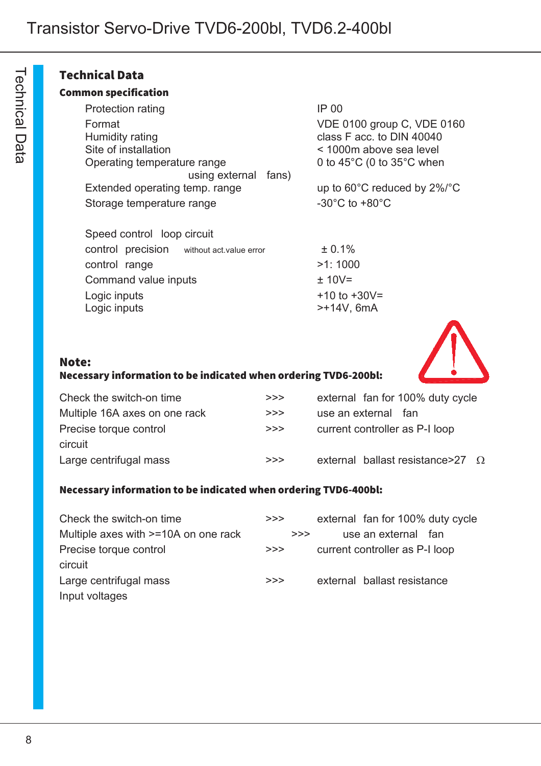### Technical Data

#### Common specification

| Protection rating              | <b>IP 00</b>    |
|--------------------------------|-----------------|
| Format                         | VDE.            |
| Humidity rating                | class           |
| Site of installation           | < 100           |
| Operating temperature range    | $0$ to 4        |
| using external fans)           |                 |
| Extended operating temp. range | up to           |
| Storage temperature range      | $-30^{\circ}$ C |

VDE 0100 group C, VDE 0160 class F acc. to  $\overline{D}$  10040  $<$  1000m above sea level 0 to  $45^{\circ}$ C (0 to  $35^{\circ}$ C when

up to 60°C reduced by 2%/°C -30 $^{\circ}$ C to +80 $^{\circ}$ C

| Speed control loop circuit                |  |                                   |
|-------------------------------------------|--|-----------------------------------|
| control precision without act value error |  | ± 0.1%                            |
| control range                             |  | >1:1000                           |
| Command value inputs                      |  | $± 10V=$                          |
| Logic inputs<br>Logic inputs              |  | $+10$ to $+30V =$<br>$>+14V, 6mA$ |

#### Note:

#### Necessary information to be indicated when ordering TVD6-200bl:

| Check the switch-on time      | >> | external fan for 100% duty cycle          |
|-------------------------------|----|-------------------------------------------|
| Multiple 16A axes on one rack | >> | use an external fan                       |
| Precise torque control        | >> | current controller as P-I loop            |
| circuit                       |    |                                           |
| Large centrifugal mass        | >> | external ballast resistance > 27 $\Omega$ |

#### Necessary information to be indicated when ordering TVD6-400bl:

| Check the switch-on time             | >> | external fan for 100% duty cycle |
|--------------------------------------|----|----------------------------------|
| Multiple axes with >=10A on one rack | >> | use an external fan              |
| Precise torque control               | >> | current controller as P-I loop   |
| circuit                              |    |                                  |
| Large centrifugal mass               | >> | external ballast resistance      |
| Input voltages                       |    |                                  |

 $\overline{\phantom{0}}$ ወ c h ∃.<br>ດ  $\overline{\varpi}$  $\Box$ a<br>B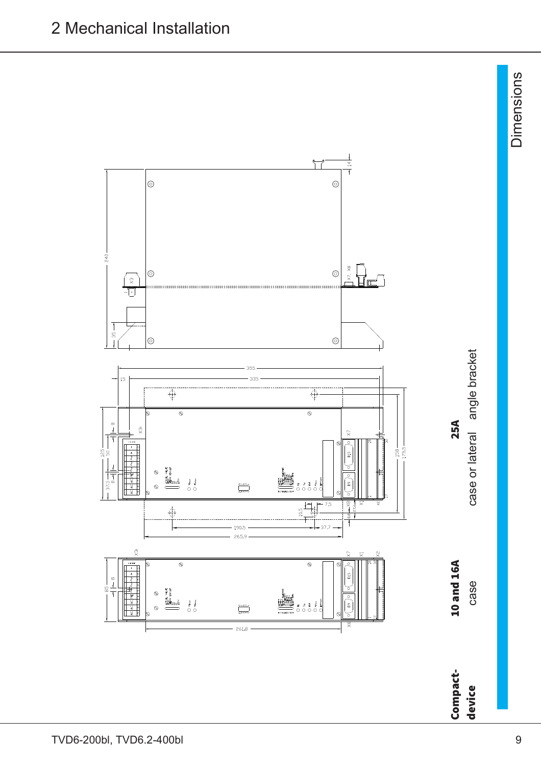

Dim ወ  $\mathsf{\Xi}$ sio  $\mathsf{\Xi}$ 

s

ပ o " ≣  $\mathbf{p}$  $\tilde{\mathbf{a}}$ 

devic e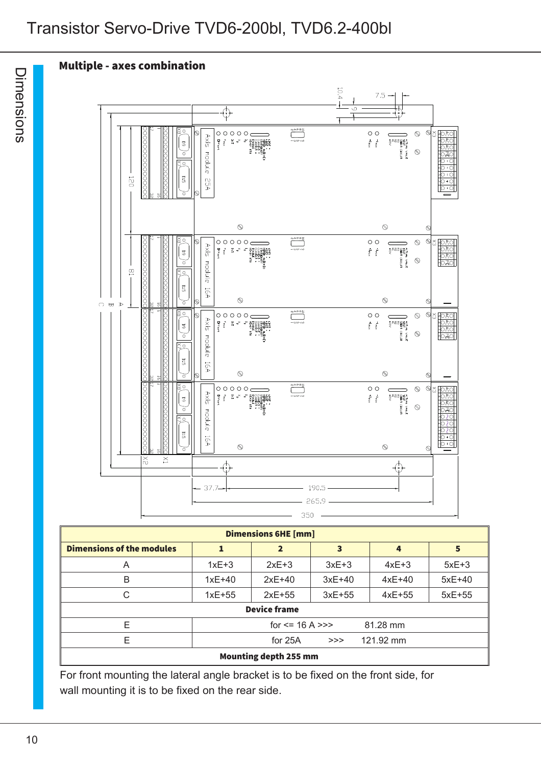# Transistor Servo-Drive TVD6-200bl, TVD6.2-400bl

# Multiple - axes combination



| <b>Dimensions 6HE [mm]</b>              |          |              |          |          |          |  |  |
|-----------------------------------------|----------|--------------|----------|----------|----------|--|--|
| <b>Dimensions of the modules</b>        |          | $\mathbf{2}$ | 3        | 4        | 5        |  |  |
| A                                       | $1xE+3$  | $2xE+3$      | $3xE+3$  | $4xE+3$  | $5xE+3$  |  |  |
| B                                       | $1xE+40$ | $2xE+40$     | $3xE+40$ | $4xE+40$ | $5xE+40$ |  |  |
| С                                       | $1xE+55$ | $2xE+55$     | $3xE+55$ | $4xE+55$ | $5xE+55$ |  |  |
| <b>Device frame</b>                     |          |              |          |          |          |  |  |
| F<br>for $\le$ 16 A $\ge$ ><br>81.28 mm |          |              |          |          |          |  |  |
| F<br>121.92 mm<br>for $25A$<br>>>       |          |              |          |          |          |  |  |
| <b>Mounting depth 255 mm</b>            |          |              |          |          |          |  |  |

For front mounting the lateral angle bracket is to be fixed on the front side, for wall mounting it is to be fixed on the rear side.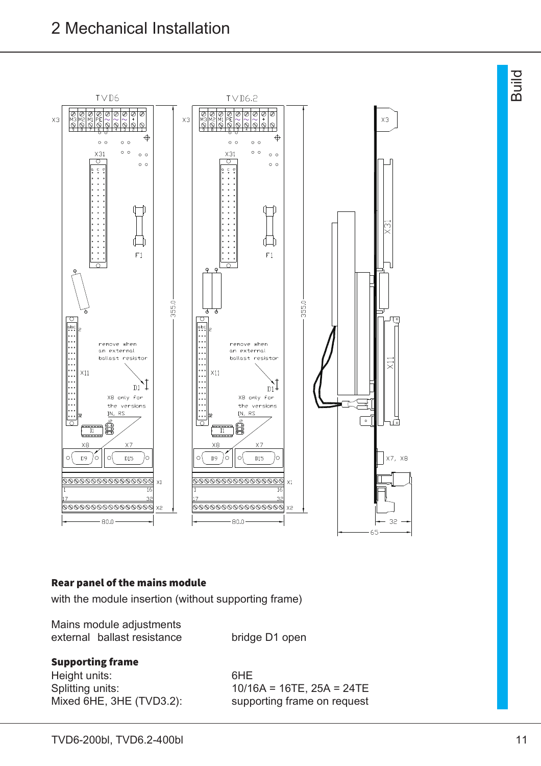

#### Rear panel of the mains module

with the module insertion (without supporting frame)

| Mains module adjustments    |                |
|-----------------------------|----------------|
| external ballast resistance | bridge D1 open |

#### Supporting frame

Height units: 6HE Mixed 6HE, 3HE (TVD3.2): supporting frame on request

Splitting units: 10/16A = 16TE, 25A = 24TE

മ o<br>Giu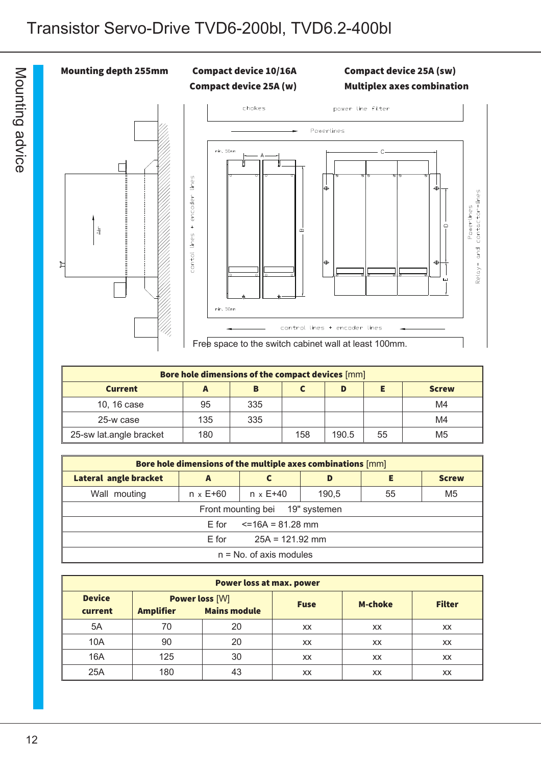

| Bore hole dimensions of the compact devices [mm] |     |     |     |       |    |              |  |  |
|--------------------------------------------------|-----|-----|-----|-------|----|--------------|--|--|
| <b>Current</b>                                   | A   | в   |     | D     |    | <b>Screw</b> |  |  |
| 10, 16 case                                      | 95  | 335 |     |       |    | M4           |  |  |
| 25-w case                                        | 135 | 335 |     |       |    | M4           |  |  |
| 25-sw lat.angle bracket                          | 180 |     | 158 | 190.5 | 55 | M5           |  |  |

| Bore hole dimensions of the multiple axes combinations [mm] |                                     |                   |       |    |              |  |
|-------------------------------------------------------------|-------------------------------------|-------------------|-------|----|--------------|--|
| <b>Lateral angle bracket</b>                                | A                                   |                   | D     | Е  | <b>Screw</b> |  |
| Wall mouting                                                | $n \times E + 60$                   | $n \times E + 40$ | 190,5 | 55 | M5           |  |
|                                                             | Front mounting bei 19" systemen     |                   |       |    |              |  |
|                                                             | $\epsilon$ =16A = 81.28 mm<br>E for |                   |       |    |              |  |
| $25A = 121.92$ mm<br>E for                                  |                                     |                   |       |    |              |  |
| $n = No$ . of axis modules                                  |                                     |                   |       |    |              |  |

| <b>Power loss at max. power</b> |                                           |                     |             |                |               |
|---------------------------------|-------------------------------------------|---------------------|-------------|----------------|---------------|
| <b>Device</b><br>current        | <b>Power loss [W]</b><br><b>Amplifier</b> | <b>Mains module</b> | <b>Fuse</b> | <b>M-choke</b> | <b>Filter</b> |
| 5A                              | 70                                        | 20                  | XX          | XX             | <b>XX</b>     |
| 10A                             | 90                                        | 20                  | XX          | XX             | <b>XX</b>     |
| 16A                             | 125                                       | 30                  | <b>XX</b>   | XX             | <b>XX</b>     |
| 25A                             | 180                                       | 43                  | XX          | XX             | XX            |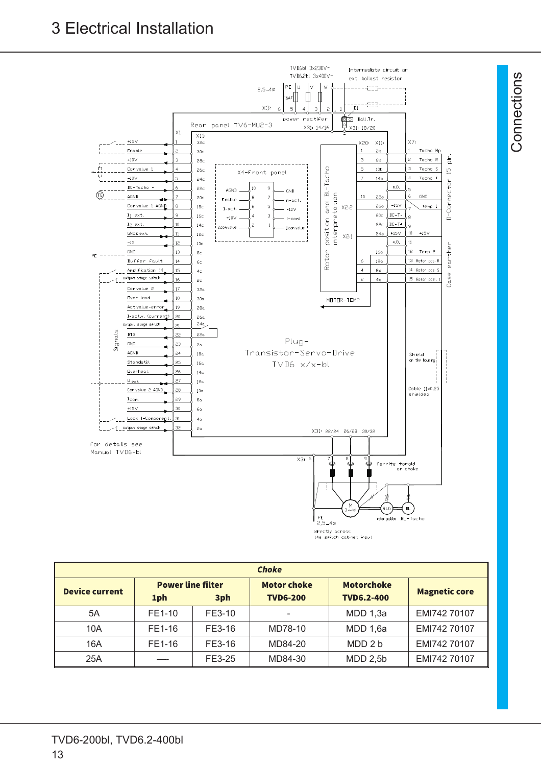3 Electrical Installation



| <b>Choke</b>          |                                 |        |                                       |                                        |                      |  |
|-----------------------|---------------------------------|--------|---------------------------------------|----------------------------------------|----------------------|--|
| <b>Device current</b> | <b>Power line filter</b><br>1ph | 3ph    | <b>Motor choke</b><br><b>TVD6-200</b> | <b>Motorchoke</b><br><b>TVD6.2-400</b> | <b>Magnetic core</b> |  |
| 5A                    | FE1-10                          | FE3-10 | $\overline{\phantom{0}}$              | MDD 1,3a                               | EMI742 70107         |  |
| 10A                   | FE1-16                          | FE3-16 | MD78-10                               | MDD 1,6a                               | EMI742 70107         |  |
| 16A                   | FE1-16                          | FE3-16 | MD84-20                               | MDD 2 b                                | EMI742 70107         |  |
| 25A                   |                                 | FE3-25 | MD84-30                               | $MDD$ 2,5b                             | EMI742 70107         |  |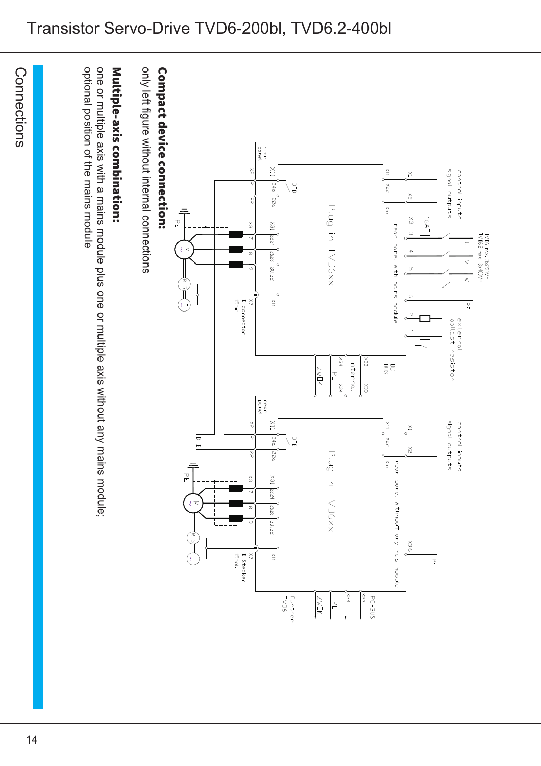# Transistor Servo-Drive TVD6-200bl, TVD6.2-400bl

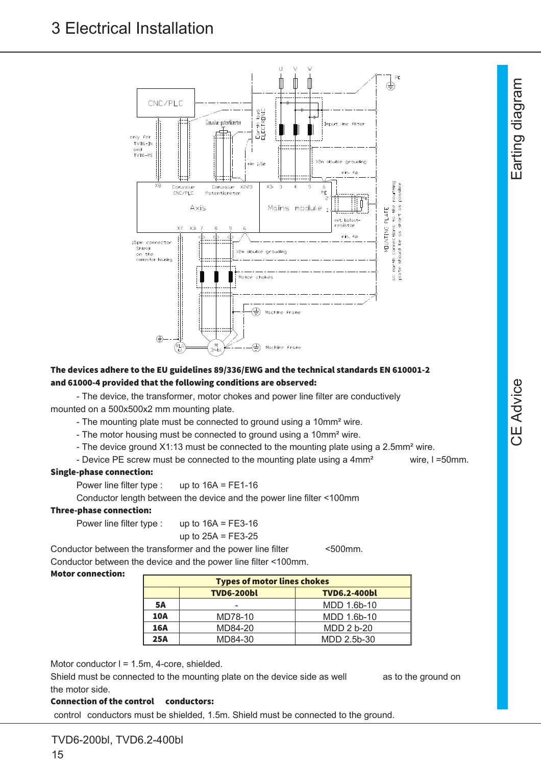

#### The devices adhere to the EU guidelines 89/336/EWG and the technical standards EN 610001-2 and 61000-4 provided that the following conditions are observed:

- The device, the transformer, motor chokes and power line filter are conductively mounted on a 500x500x2 mm mounting plate.

- The mounting plate must be connected to ground using a 10mm<sup>2</sup> wire.

- The motor housing must be connected to ground using a 10mm<sup>2</sup> wire.

- The device ground X1:13 must be connected to the mounting plate using a 2.5mm<sup>2</sup> wire.

- Device PE screw must be connected to the mounting plate using a 4mm<sup>2</sup> wire, I=50mm.

#### Single-phase connection:

Power line filter type : up to 16A = FE1-16

Conductor length between the device and the power line filter <100mm

#### Three-phase connection:

Power line filter type : up to 16A = FE3-16

up to 
$$
25A = FE3-25
$$

Conductor between the transformer and the power line filter <500mm. Conductor between the device and the power line filter <100mm.

#### Motor connection:

| <b>Types of motor lines chokes</b>       |         |             |  |  |
|------------------------------------------|---------|-------------|--|--|
| <b>TVD6-200bl</b><br><b>TVD6.2-400bl</b> |         |             |  |  |
| <b>5A</b>                                |         | MDD 1.6b-10 |  |  |
| <b>10A</b>                               | MD78-10 | MDD 1.6b-10 |  |  |
| 16A                                      | MD84-20 | MDD 2 b-20  |  |  |
| 25A                                      | MD84-30 | MDD 2.5b-30 |  |  |

Motor conductor I = 1.5m, 4-core, shielded.

Shield must be connected to the mounting plate on the device side as well as to the ground on the motor side.

#### Connection of the control conductors:

control conductors must be shielded, 1.5m. Shield must be connected to the ground.

 $\frac{1}{2}$ ወ

 $\sqcup$ ത rtin gdia

ල<br>ට  $\Xi$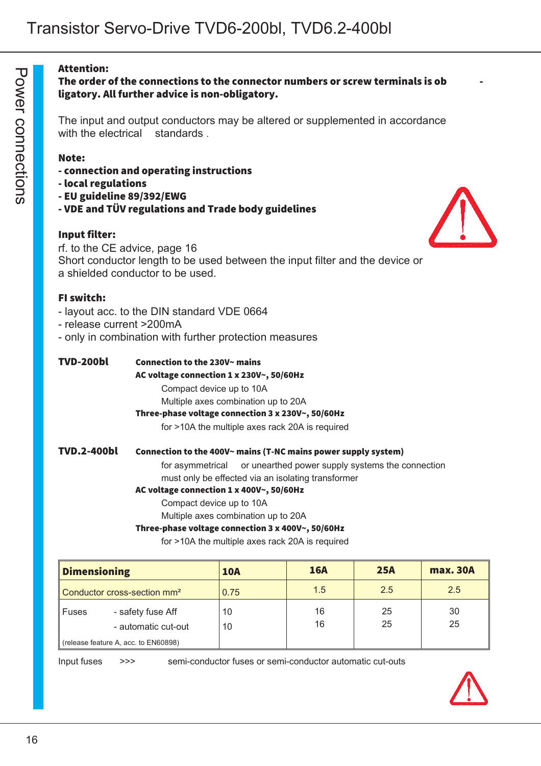#### Attention:

#### The order of the connections to the connector numbers or screw terminals is ob ligatory. All further advice is non-obligatory.

The input and output conductors may be altered or supplemented in accordance with the electrical standards.

#### Note:

- connection and operating instructions
- local regulations
- EU guideline 89/392/EWG
- VDE and TÜV regulations and Trade body guidelines

#### Input filter:



rf. to the CE advice, page 16 Short conductor length to be used between the input filter and the device or a shielded conductor to be used.

#### FI switch:

- layout acc. to the DIN standard VDE 0664
- release current >200mA
- only in combination with further protection measures

| <b>TVD-200bl</b> | Connection to the 230V~ mains |  |
|------------------|-------------------------------|--|
|------------------|-------------------------------|--|

#### AC voltage connection 1 x 230V~, 50/60Hz

Compact device up to 10A

Multiple axes combination up to 20A

#### Three-phase voltage connection 3 x 230V~, 50/60Hz

for >10A the multiple axes rack 20A is required

#### TVD.2-400bl Connection to the 400V~ mains (T-NC mains power supply system)

for asymmetrical or unearthed power supply systems the connection must only be effected via an isolating transformer

#### AC voltage connection 1 x 400V~, 50/60Hz

Compact device up to 10A

Multiple axes combination up to 20A

#### Three-phase voltage connection 3 x 400V~, 50/60Hz

for >10A the multiple axes rack 20A is required

| <b>Dimensioning</b>                     |                                          | <b>10A</b> | <b>16A</b> | 25A      | <b>max. 30A</b> |
|-----------------------------------------|------------------------------------------|------------|------------|----------|-----------------|
| Conductor cross-section mm <sup>2</sup> |                                          | 0.75       | 1.5        | 2.5      | 2.5             |
| Fuses                                   | - safety fuse Aff<br>- automatic cut-out | 10<br>10   | 16<br>16   | 25<br>25 | 30<br>25        |
| (release feature A, acc. to EN60898)    |                                          |            |            |          |                 |

Input fuses >>> semi-conductor fuses or semi-conductor automatic cut-outs

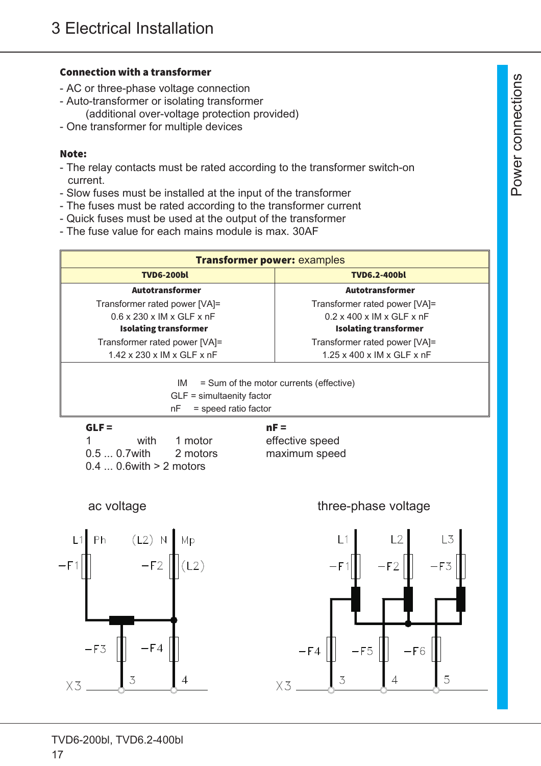#### Connection with a transformer

- AC or three-phase voltage connection
- Auto-transformer or isolating transformer (additional over-voltage protection provided)
- One transformer for multiple devices

#### Note:

- The relay contacts must be rated according to the transformer switch-on current.
- Slow fuses must be installed at the input of the transformer
- The fuses must be rated according to the transformer current
- Quick fuses must be used at the output of the transformer
- The fuse value for each mains module is max. 30AF

| <b>Transformer power: examples</b>                                                                          |                                        |  |  |  |
|-------------------------------------------------------------------------------------------------------------|----------------------------------------|--|--|--|
| <b>TVD6-200bl</b>                                                                                           | <b>TVD6.2-400bl</b>                    |  |  |  |
| <b>Autotransformer</b>                                                                                      | <b>Autotransformer</b>                 |  |  |  |
| Transformer rated power [VA]=                                                                               | Transformer rated power [VA]=          |  |  |  |
| $0.6 \times 230 \times$ IM $\times$ GLF $\times$ nF                                                         | $0.2 \times 400 \times$ IM x GLF x nF  |  |  |  |
| <b>Isolating transformer</b>                                                                                | <b>Isolating transformer</b>           |  |  |  |
| Transformer rated power [VA]=                                                                               | Transformer rated power [VA]=          |  |  |  |
| $1.42 \times 230 \times$ IM x GLF x nF                                                                      | $1.25 \times 400 \times$ IM x GLF x nF |  |  |  |
| = Sum of the motor currents (effective)<br>IM.<br>$GLF =$ simultaenity factor<br>= speed ratio factor<br>nF |                                        |  |  |  |
| GI F =                                                                                                      |                                        |  |  |  |

| ULF –    |                            |                        | пг –            |
|----------|----------------------------|------------------------|-----------------|
| $\sim$ 1 |                            | with 1 motor           | effective speed |
|          |                            | $0.50.7$ with 2 motors | maximum speed   |
|          | $0.40.6$ with $> 2$ motors |                        |                 |





# ac voltage three-phase voltage three-phase voltage

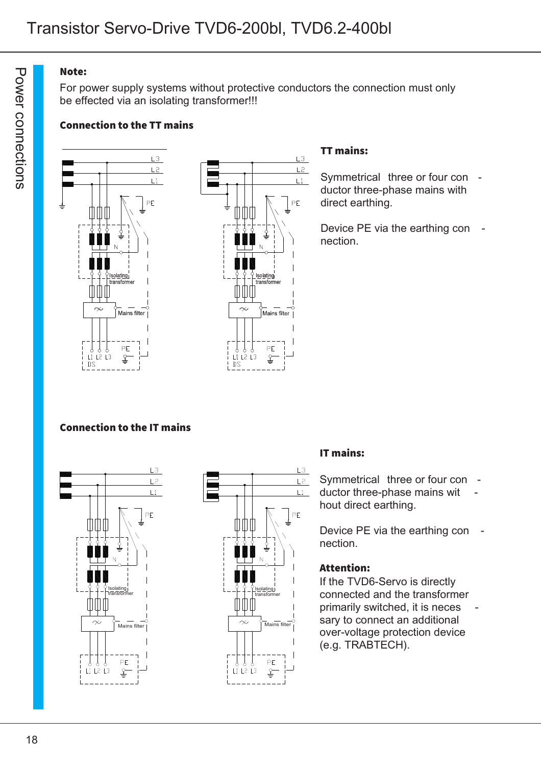#### Note:

For power supply systems without protective conductors the connection must only be effected via an isolating transformer!!!

### Connection to the TT mains





#### TT mains:

Symmetrical three or four con ductor three-phase mains with direct earthing.

Device PE via the earthing con nection.

#### Connection to the IT mains





#### IT mains:

Symmetrical three or four con ductor three-phase mains wit hout direct earthing.

Device PE via the earthing con nection.

#### Attention:

If the TVD6-Servo is directly connected and the transformer primarily switched, it is neces sary to connect an additional over-voltage protection device (e.g. TRABTECH).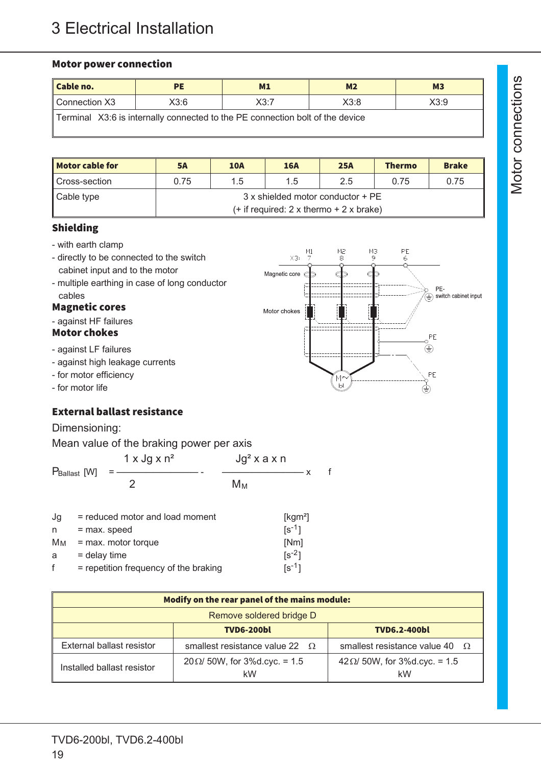#### Motor power connection

| Cable no.                                                                     | <b>PE</b> | M1   | M <sub>2</sub> | M <sub>3</sub> |  |
|-------------------------------------------------------------------------------|-----------|------|----------------|----------------|--|
| Connection X3                                                                 | X3:6      | X3:7 | X3:8           | X3:9           |  |
| Terminal X3:6 is internally connected to the PE connection bolt of the device |           |      |                |                |  |

| <b>Motor cable for</b> | <b>5A</b>                                   | <b>10A</b> | <b>16A</b> | <b>25A</b> | <b>Thermo</b> | <b>Brake</b> |
|------------------------|---------------------------------------------|------------|------------|------------|---------------|--------------|
| ∥ Cross-section        | 0.75                                        | 1.5        | 1.5        | 2.5        | 0.75          | 0.75         |
| ∥ Cable type           | 3 x shielded motor conductor + PE           |            |            |            |               |              |
|                        | $(+$ if required: 2 x thermo $+$ 2 x brake) |            |            |            |               |              |

 $\frac{M1}{7}$ 

 $X3$ 

Magnetic core  $\epsilon$ 

Motor chokes

M2<br>8

 $M_9$ 

#### Shielding

- with earth clamp
- directly to be connected to the switch cabinet input and to the motor
- multiple earthing in case of long conductor cables

#### Magnetic cores

- against HF failures

#### Motor chokes

- against LF failures
- against high leakage currents
- for motor efficiency
- for motor life

# External ballast resistance

Dimensioning:

|                  |                          | Mean value of the braking power per axis               |               |                                           |  |
|------------------|--------------------------|--------------------------------------------------------|---------------|-------------------------------------------|--|
|                  |                          | $1 \times$ Jg $\times$ n <sup>2</sup>                  | $Jg2$ x a x n |                                           |  |
|                  | P <sub>Ballast</sub> [W] |                                                        | Mм            |                                           |  |
| Jg<br>n<br>$M_M$ | = max. speed             | = reduced motor and load moment<br>= max. motor torque |               | [kgm <sup>2</sup> ]<br>$[s^{-1}]$<br>[Nm] |  |

| a | $=$ delay time | $[s^{-2}]$ |
|---|----------------|------------|
|   |                |            |

| $=$ repetition frequency of the braking | $[s^{-1}]$ |
|-----------------------------------------|------------|
|                                         |            |

| Modify on the rear panel of the mains module: |                                           |                                           |  |  |
|-----------------------------------------------|-------------------------------------------|-------------------------------------------|--|--|
| Remove soldered bridge D                      |                                           |                                           |  |  |
| <b>TVD6-200bl</b><br><b>TVD6.2-400bl</b>      |                                           |                                           |  |  |
| External ballast resistor                     | smallest resistance value 22 $\Omega$     | smallest resistance value 40 $\Omega$     |  |  |
| Installed ballast resistor                    | $20 \Omega$ 50W, for 3%d.cyc. = 1.5<br>kW | $42\Omega/50W$ , for 3%d.cyc. = 1.5<br>kW |  |  |

 $\geq$ 

 $PE$ 

 $\overline{6}$ 

PE- $\widetilde{(\equiv)}$  switch cabinet input

PE  $\overset{\circ}{\oplus}$ 

 $PE$ ⊜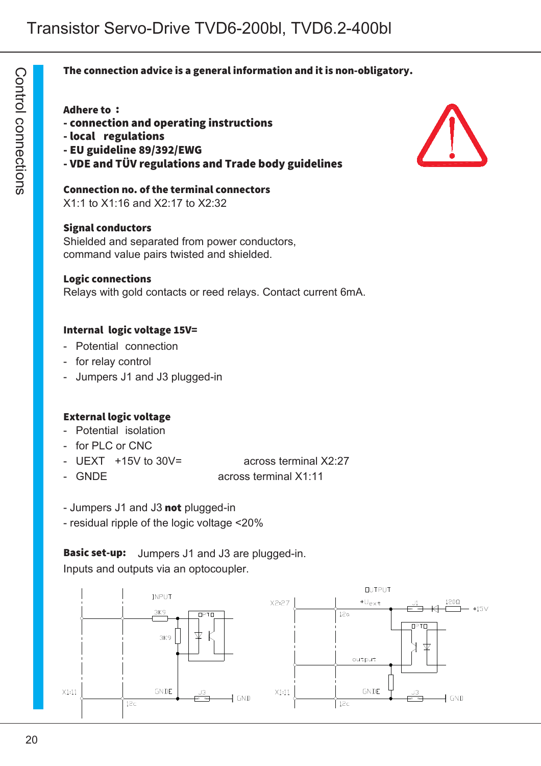#### The connection advice is a general information and it is non-obligatory.

#### Adhere to :

 $\bigcirc$ o ntr<br>1  $\underline{\circ}$  $\mathsf{\Omega}$ o コ  $\overline{\phantom{0}}$ ወ ctio  $\overline{\phantom{0}}$ s

- connection and operating instructions
- local regulations
- EU guideline 89/392/EWG
- VDE and TÜV regulations and Trade body guidelines

Connection no. of the terminal connectors X1:1 to X1:16 and X2:17 to X2:32

#### Signal conductors

Shielded and separated from power conductors, command value pairs twisted and shielded.

#### Logic connections

Relays with gold contacts or reed relays. Contact current 6mA.

#### Internal logic voltage 15V=

- Potential connection
- for relay control
- Jumpers J1 and J3 plugged-in

#### External logic voltage

- Potential isolation
- for PLC or CNC
- UEXT +15V to 30V= across terminal X2:27

- GNDE across terminal X1:11
- Jumpers J1 and J3 not plugged-in
- residual ripple of the logic voltage <20%

**Basic set-up:** Jumpers J1 and J3 are plugged-in. Inputs and outputs via an optocoupler.



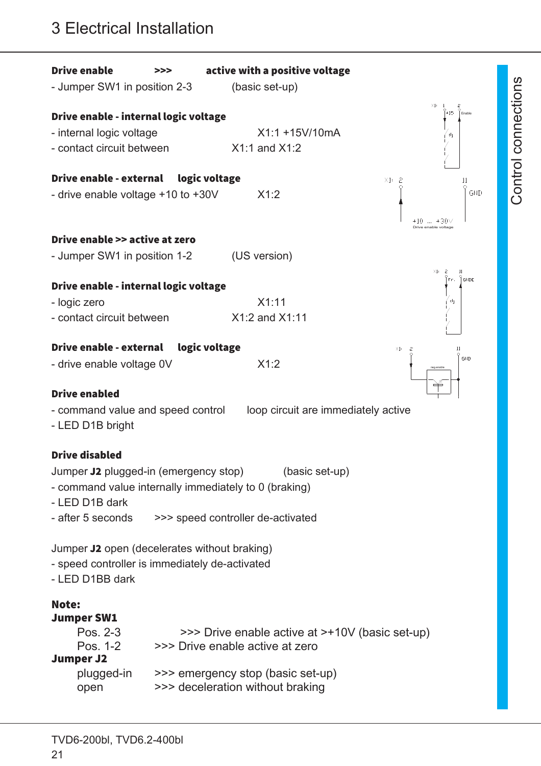# 3 Electrical Installation

| <b>Drive enable</b><br>- Jumper SW1 in position 2-3                                                                                                            | >>>           | active with a positive voltage<br>(basic set-up)                                                                                                            |                                                |  |  |
|----------------------------------------------------------------------------------------------------------------------------------------------------------------|---------------|-------------------------------------------------------------------------------------------------------------------------------------------------------------|------------------------------------------------|--|--|
| Drive enable - internal logic voltage<br>- internal logic voltage<br>- contact circuit between                                                                 |               | $X1:1 + 15V/10mA$<br>$X1:1$ and $X1:2$                                                                                                                      | X1:<br>-1<br>$+15$<br>Enable<br>d <sub>1</sub> |  |  |
| Drive enable - external<br>- drive enable voltage +10 to +30V                                                                                                  | logic voltage | X1:2                                                                                                                                                        | X1:2<br>11<br><b>GND</b><br>+10  +30V          |  |  |
| Drive enable >> active at zero<br>- Jumper SW1 in position 1-2                                                                                                 |               | (US version)                                                                                                                                                | Drive enable voltage<br>X1:<br>2<br>11         |  |  |
| Drive enable - internal logic voltage<br>- logic zero<br>- contact circuit between                                                                             |               | X1:11<br>X1:2 and X1:11                                                                                                                                     | GNDE<br>d <sub>1</sub>                         |  |  |
| <b>Drive enable - external</b><br>logic voltage<br>11<br>X1:<br>-2<br>GND<br>X1:2<br>- drive enable voltage 0V<br>neg.enable                                   |               |                                                                                                                                                             |                                                |  |  |
| ≃<br><b>Drive enabled</b><br>loop circuit are immediately active<br>- command value and speed control<br>- LED D1B bright                                      |               |                                                                                                                                                             |                                                |  |  |
| <b>Drive disabled</b><br>Jumper J2 plugged-in (emergency stop)<br>- command value internally immediately to 0 (braking)<br>- LED D1B dark<br>- after 5 seconds |               | (basic set-up)<br>>>> speed controller de-activated                                                                                                         |                                                |  |  |
| Jumper J2 open (decelerates without braking)<br>- speed controller is immediately de-activated<br>- LED D1BB dark                                              |               |                                                                                                                                                             |                                                |  |  |
| <b>Note:</b><br><b>Jumper SW1</b><br>Pos. 2-3<br>Pos. 1-2<br><b>Jumper J2</b><br>plugged-in<br>open                                                            |               | >>> Drive enable active at >+10V (basic set-up)<br>>>> Drive enable active at zero<br>>>> emergency stop (basic set-up)<br>>>> deceleration without braking |                                                |  |  |

o

o $\mathsf{\Xi}$  $\mathsf{\Xi}$ ወ

 $\mathsf{\Xi}$ ທ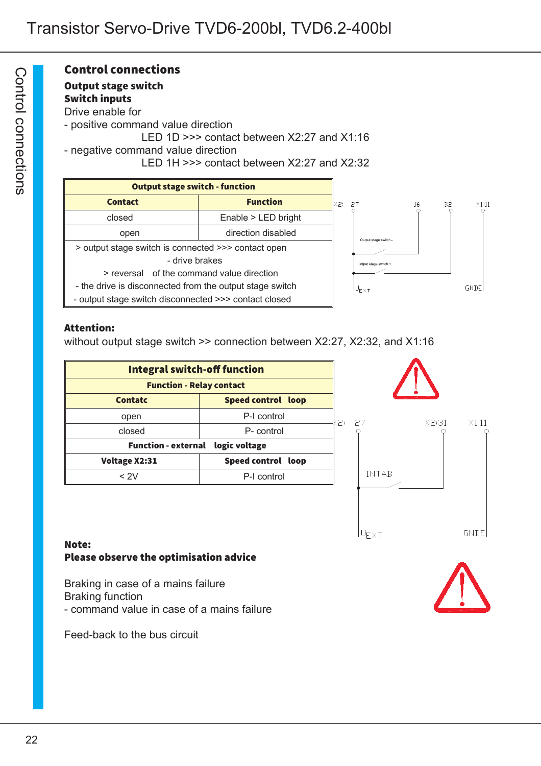# Control connections

#### Output stage switch

Switch inputs

Drive enable for - positive command value direction LED 1D >>> contact between X2:27 and X1:16 - negative command value direction LED 1H >>> contact between X2:27 and X2:32



#### Attention:

without output stage switch >> connection between X2:27, X2:32, and X1:16

| <b>Integral switch-off function</b>         |  |  |  |
|---------------------------------------------|--|--|--|
| <b>Function - Relay contact</b>             |  |  |  |
| Speed control loop<br><b>Contatc</b>        |  |  |  |
| P-I control<br>open                         |  |  |  |
| closed<br>P- control                        |  |  |  |
| <b>Function - external</b><br>logic voltage |  |  |  |
| Speed control loop<br>Voltage X2:31         |  |  |  |
| < 2V<br>P-I control                         |  |  |  |



#### Note: Please observe the optimisation advice

Braking in case of a mains failure Braking function - command value in case of a mains failure

Feed-back to the bus circuit

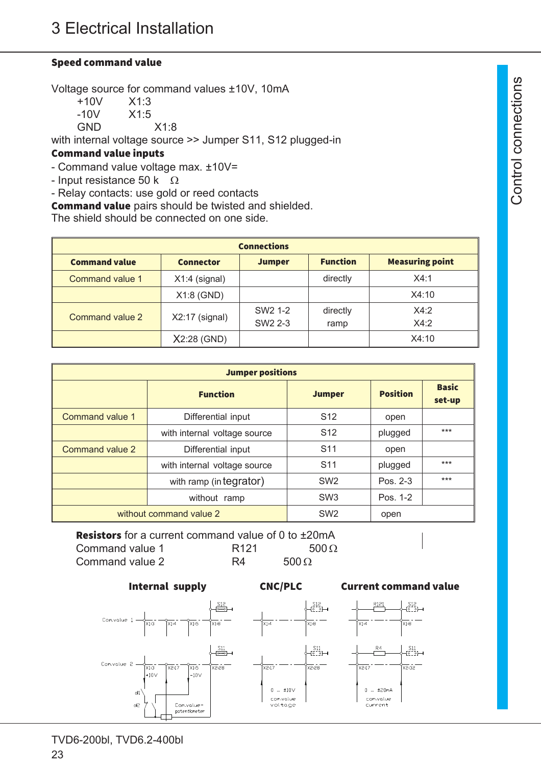#### Speed command value

Voltage source for command values ±10V, 10mA

| $+10V$     | X1:3 |
|------------|------|
| -10V       | X1:5 |
| <b>GND</b> | X1:8 |

with internal voltage source >> Jumper S11, S12 plugged-in

#### Command value inputs

- Command value voltage max. ±10V=

- Input resistance 50 k  $\Omega$
- Relay contacts: use gold or reed contacts
- Command value pairs should be twisted and shielded.

The shield should be connected on one side.

| <b>Connections</b>   |                  |                     |                 |                        |  |
|----------------------|------------------|---------------------|-----------------|------------------------|--|
| <b>Command value</b> | <b>Connector</b> | <b>Jumper</b>       | <b>Function</b> | <b>Measuring point</b> |  |
| Command value 1      | $X1:4$ (signal)  |                     | directly        | X4:1                   |  |
|                      | $X1:8$ (GND)     |                     |                 | X4:10                  |  |
| Command value 2      | $X2:17$ (signal) | SW <sub>2</sub> 1-2 | directly        | X4:2                   |  |
|                      |                  | SW <sub>2</sub> 2-3 | ramp            | X4:2                   |  |
|                      | $X2:28$ (GND)    |                     |                 | X4:10                  |  |

| <b>Jumper positions</b>               |                              |                 |                 |                        |  |
|---------------------------------------|------------------------------|-----------------|-----------------|------------------------|--|
| <b>Function</b>                       |                              | <b>Jumper</b>   | <b>Position</b> | <b>Basic</b><br>set-up |  |
| <b>Command value 1</b>                | Differential input           | S <sub>12</sub> | open            |                        |  |
|                                       | with internal voltage source | S <sub>12</sub> | plugged         | $***$                  |  |
| Command value 2<br>Differential input |                              | S <sub>11</sub> | open            |                        |  |
| with internal voltage source          |                              | S <sub>11</sub> | plugged         | $***$                  |  |
| with ramp (in tegrator)               |                              | SW <sub>2</sub> | Pos. 2-3        | $***$                  |  |
| without ramp                          |                              | SW <sub>3</sub> | Pos. 1-2        |                        |  |
|                                       | without command value 2      | SW <sub>2</sub> | open            |                        |  |

Resistors for a current command value of 0 to ±20mA Command value 1  $R121$  500  $\Omega$ Command value 2  $R4$  500  $\Omega$ 

#### Internal supply CNC/PLC Current command value



 $\mathsf{\Xi}$ ທ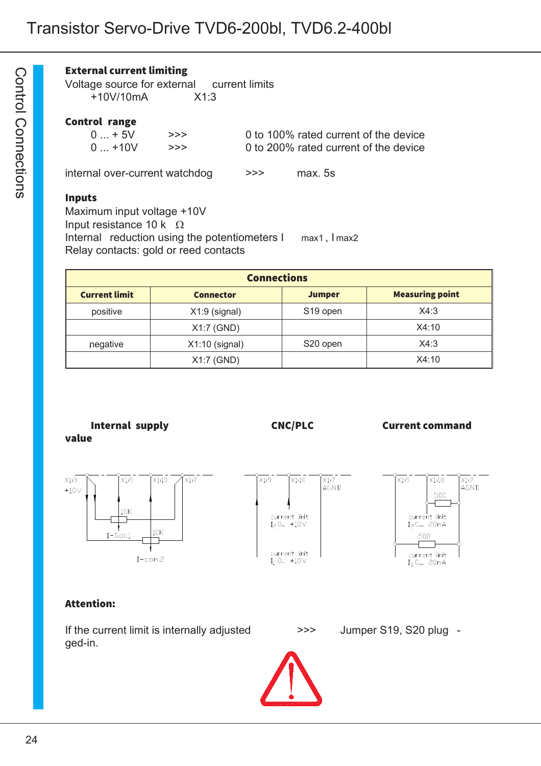#### External current limiting

Voltage source for external current limits +10V/10mA X1:3

#### Control range

| $0 + 5V$  | >>> | 0 to 100% rated current of the device |
|-----------|-----|---------------------------------------|
| $0 + 10V$ | >>> | 0 to 200% rated current of the device |

internal over-current watchdog  $\rightarrow$ >> max. 5s

#### Inputs

Maximum input voltage +10V Input resistance 10 k  $\Omega$ Internal reduction using the potentiometers I max1, I max2 Relay contacts: gold or reed contacts

| <b>Connections</b>                                                                  |                  |                      |       |  |  |
|-------------------------------------------------------------------------------------|------------------|----------------------|-------|--|--|
| <b>Measuring point</b><br><b>Current limit</b><br><b>Jumper</b><br><b>Connector</b> |                  |                      |       |  |  |
| positive                                                                            | $X1:9$ (signal)  | S <sub>19</sub> open | X4:3  |  |  |
|                                                                                     | $X1:7$ (GND)     |                      | X4:10 |  |  |
| negative                                                                            | $X1:10$ (signal) | S20 open             | X4:3  |  |  |
|                                                                                     | X1:7 (GND)       |                      | X4:10 |  |  |

Internal supply **CNC/PLC** Current command value







#### Attention:

If the current limit is internally adjusted  $\rightarrow$ >> Jumper S19, S20 plug ged-in.



 $\bigcirc$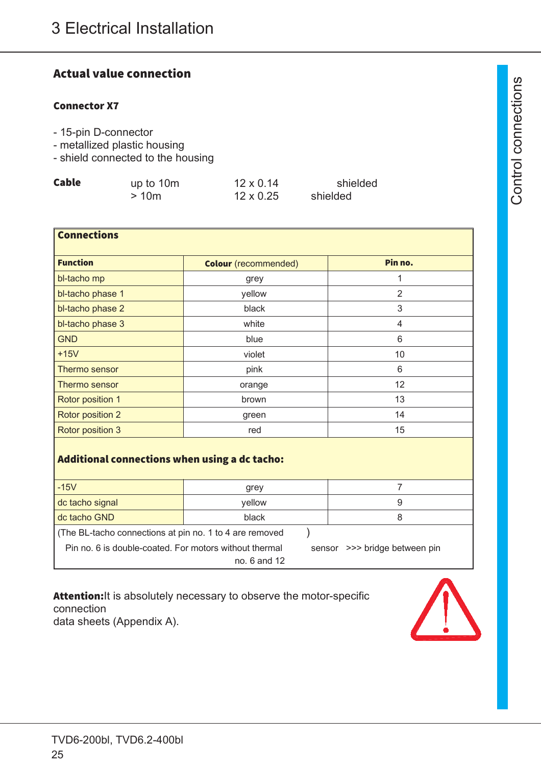# Actual value connection

#### Connector X7

- 15-pin D-connector
- metallized plastic housing
- shield connected to the housing

| Cable | up to 10m | $12 \times 0.14$ | shielded |
|-------|-----------|------------------|----------|
|       | >10m      | $12 \times 0.25$ | shielded |

| <b>Connections</b>                                        |        |                |  |  |
|-----------------------------------------------------------|--------|----------------|--|--|
| <b>Function</b><br>Pin no.<br><b>Colour</b> (recommended) |        |                |  |  |
| bl-tacho mp                                               | grey   | 1              |  |  |
| bl-tacho phase 1                                          | yellow | $\overline{2}$ |  |  |
| bl-tacho phase 2                                          | black  | 3              |  |  |
| bl-tacho phase 3                                          | white  | 4              |  |  |
| <b>GND</b>                                                | blue   | 6              |  |  |
| $+15V$                                                    | violet | 10             |  |  |
| Thermo sensor                                             | pink   | 6              |  |  |
| Thermo sensor                                             | orange | 12             |  |  |
| Rotor position 1                                          | brown  | 13             |  |  |
| Rotor position 2                                          | green  | 14             |  |  |
| Rotor position 3                                          | red    | 15             |  |  |
| Additional connections when using a dc tacho:             |        |                |  |  |
| $-15V$                                                    | grey   | $\overline{7}$ |  |  |
| dc tacho signal                                           | yellow | 9              |  |  |
| dc tacho GND                                              | black  | 8              |  |  |

(The BL-tacho connections at pin no. 1 to 4 are removed ) Pin no. 6 is double-coated. For motors without thermal sensor >>> bridge between pin

no. 6 and 12

Attention: It is absolutely necessary to observe the motor-specific connection data sheets (Appendix A).

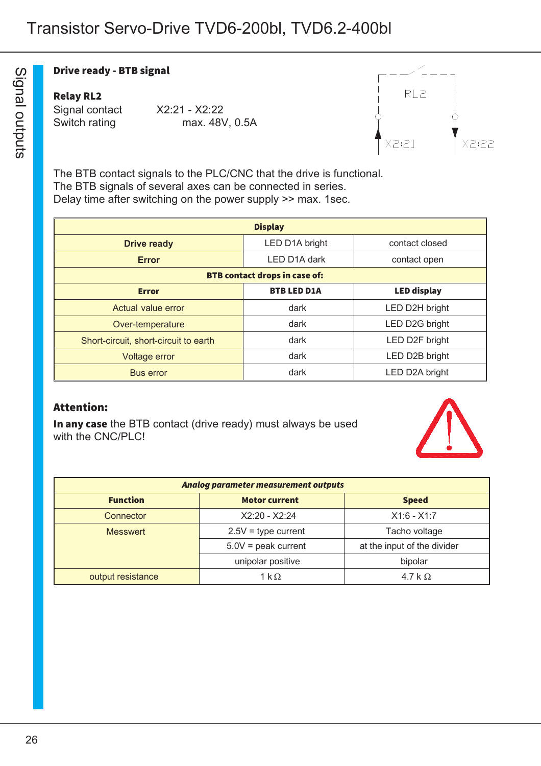#### Drive ready - BTB signal

#### Relay RL2

Signal contact X2:21 - X2:22 Switch rating max. 48V, 0.5A



The BTB contact signals to the PLC/CNC that the drive is functional. The BTB signals of several axes can be connected in series. Delay time after switching on the power supply >> max. 1sec.

| <b>Display</b>                                           |                                      |                |  |  |
|----------------------------------------------------------|--------------------------------------|----------------|--|--|
| <b>Drive ready</b>                                       | LED D1A bright                       | contact closed |  |  |
| <b>Error</b>                                             | LED D1A dark                         | contact open   |  |  |
|                                                          | <b>BTB contact drops in case of:</b> |                |  |  |
| <b>BTB LED D1A</b><br><b>LED display</b><br><b>Error</b> |                                      |                |  |  |
| Actual value error                                       | dark                                 | LED D2H bright |  |  |
| Over-temperature                                         | dark                                 | LED D2G bright |  |  |
| Short-circuit, short-circuit to earth                    | dark                                 | LED D2F bright |  |  |
| <b>Voltage error</b>                                     | dark                                 | LED D2B bright |  |  |
| <b>Bus error</b>                                         | dark                                 | LED D2A bright |  |  |

#### Attention:

In any case the BTB contact (drive ready) must always be used with the CNC/PLC!



| <b>Analog parameter measurement outputs</b>             |                                                      |                |  |
|---------------------------------------------------------|------------------------------------------------------|----------------|--|
| <b>Function</b><br><b>Motor current</b><br><b>Speed</b> |                                                      |                |  |
| Connector                                               | $X2:20 - X2:24$                                      | $X1:6 - X1:7$  |  |
| <b>Messwert</b>                                         | $2.5V =$ type current<br>Tacho voltage               |                |  |
|                                                         | $5.0V = peak current$<br>at the input of the divider |                |  |
|                                                         | unipolar positive                                    | bipolar        |  |
| output resistance                                       | 1 k $\Omega$                                         | 4.7 k $\Omega$ |  |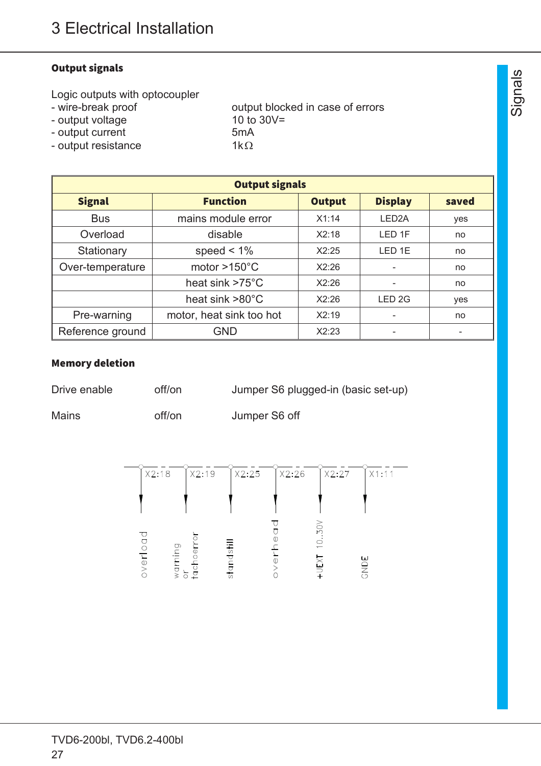### Output signals

Logic outputs with optocoupler<br>- wire-break proof

- 
- output voltage 10 to 30V=
- 
- output blocked in case of errors
- output current 5mA<br>- output resistance 1k $\Omega$ - output resistance

| <b>Output signals</b> |                                                             |       |                    |     |
|-----------------------|-------------------------------------------------------------|-------|--------------------|-----|
| <b>Signal</b>         | <b>Function</b><br><b>Display</b><br><b>Output</b><br>saved |       |                    |     |
| <b>Bus</b>            | mains module error                                          | X1:14 | LED <sub>2</sub> A | yes |
| Overload              | disable                                                     | X2:18 | LED <sub>1F</sub>  | no  |
| Stationary            | speed $< 1\%$                                               | X2:25 | LED <sub>1E</sub>  | no  |
| Over-temperature      | motor $>150^{\circ}$ C                                      | X2:26 |                    | no  |
|                       | heat sink $>75^{\circ}$ C                                   | X2:26 |                    | no  |
|                       | heat sink $>80^{\circ}$ C                                   | X2:26 | LED <sub>2G</sub>  | yes |
| Pre-warning           | motor, heat sink too hot                                    | X2:19 |                    | no  |
| Reference ground      | <b>GND</b>                                                  | X2:23 |                    |     |

#### Memory deletion

| Drive enable | off/on | Jumper S6 plugged-in (basic set-up) |  |
|--------------|--------|-------------------------------------|--|
|              |        |                                     |  |

Mains off/on Jumper S6 off

| X2:18                                | X2:19  | X2:25                          | X2:26 | X2:27                                           | X1:11       |
|--------------------------------------|--------|--------------------------------|-------|-------------------------------------------------|-------------|
|                                      |        |                                |       |                                                 |             |
| ヮ<br>0<br>O<br>warning<br>overl<br>៑ | tachoe | $\overline{5}$<br>ত<br>ăò<br>5 |       | SO <sub>V</sub><br>$\frac{0}{1}$<br><b>DEXI</b> | ш<br>a<br>S |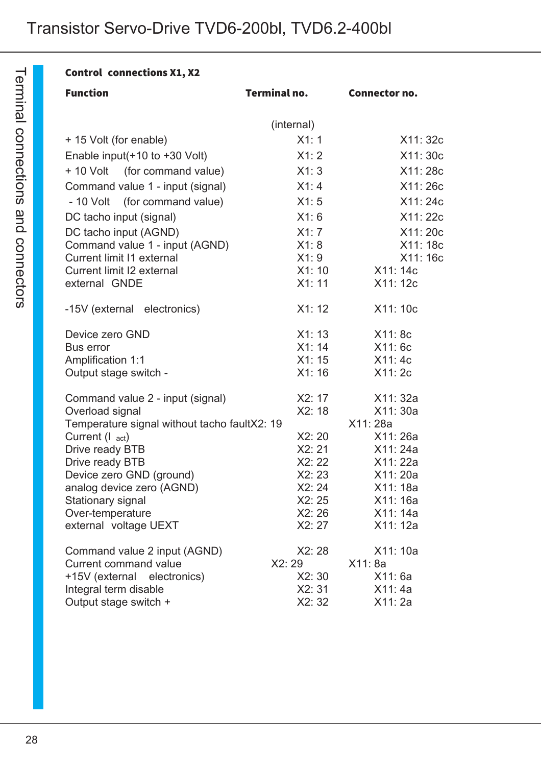| <b>Control connections X1, X2</b>            |                     |                      |
|----------------------------------------------|---------------------|----------------------|
| <b>Function</b>                              | <b>Terminal no.</b> | Connector no.        |
|                                              | (internal)          |                      |
| + 15 Volt (for enable)                       | X1:1                | X11: 32c             |
| Enable input( $+10$ to $+30$ Volt)           | X1:2                | X11: 30c             |
| + 10 Volt (for command value)                | X1:3                | X11: 28c             |
| Command value 1 - input (signal)             | X1:4                | X11: 26c             |
| - 10 Volt (for command value)                | X1:5                | X11: 24c             |
| DC tacho input (signal)                      | X1:6                | X11: 22c             |
| DC tacho input (AGND)                        | X1:7                | X11: 20c             |
| Command value 1 - input (AGND)               | X1:8                | X11: 18c             |
| Current limit 11 external                    | X1:9                | X11: 16c             |
| Current limit I2 external                    | X1:10               | X11: 14c             |
| external GNDE                                | X1:11               | X11: 12c             |
| -15V (external electronics)                  | X1:12               | X11: 10c             |
| Device zero GND                              | X1:13               | X11: 8c              |
| Bus error                                    | X1:14               | X11:6c               |
| <b>Amplification 1:1</b>                     | X1:15               | X11:4c               |
| Output stage switch -                        | X1:16               | X11: 2c              |
| Command value 2 - input (signal)             | X2:17               | X11: 32a             |
| Overload signal                              | X2:18               | X11: 30a             |
| Temperature signal without tacho faultX2: 19 |                     | X11: 28a             |
| Current (I act)                              | X2:20               | X11:26a              |
| Drive ready BTB                              | X2:21<br>X2:22      | X11: 24a<br>X11: 22a |
| Drive ready BTB<br>Device zero GND (ground)  | X2:23               | X11: 20a             |
| analog device zero (AGND)                    | X2:24               | X11: 18a             |
| Stationary signal                            | X2:25               | X11: 16a             |
| Over-temperature                             | X2:26               | X11: 14a             |
| external voltage UEXT                        | X2: 27              | X11: 12a             |
| Command value 2 input (AGND)                 | X2:28               | X11: 10a             |
| <b>Current command value</b>                 | X2: 29              | X11: 8a              |
| +15V (external electronics)                  | X2:30               | X11:6a               |
| Integral term disable                        | X2:31               | X11:4a               |
| Output stage switch +                        | X2:32               | X11: 2a              |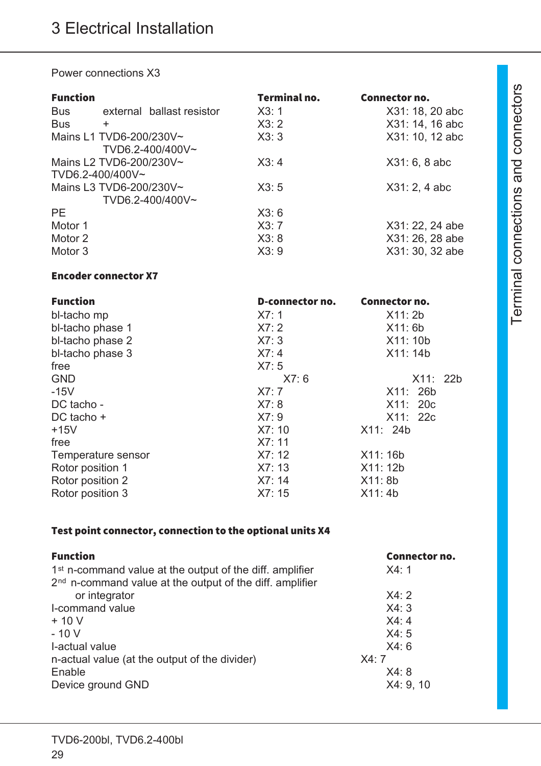Power connections X3

| <b>Function</b>  |                           | <b>Terminal no.</b> | Connector no.   |
|------------------|---------------------------|---------------------|-----------------|
| <b>Bus</b>       | external ballast resistor | X3:1                | X31: 18, 20 abc |
| <b>Bus</b>       | ÷.                        | X3:2                | X31: 14, 16 abc |
|                  | Mains L1 TVD6-200/230V~   | X3:3                | X31: 10, 12 abc |
|                  | TVD6.2-400/400V~          |                     |                 |
|                  | Mains L2 TVD6-200/230V~   | X3:4                | X31: 6, 8abc    |
| TVD6.2-400/400V~ |                           |                     |                 |
|                  | Mains L3 TVD6-200/230V~   | X3:5                | X31: 2, 4abc    |
|                  | TVD6.2-400/400V~          |                     |                 |
| <b>PE</b>        |                           | X3:6                |                 |
| Motor 1          |                           | X3:7                | X31: 22, 24 abe |
| Motor 2          |                           | X3:8                | X31: 26, 28 abe |
| Motor 3          |                           | X3:9                | X31: 30, 32 abe |

#### Encoder connector X7

| <b>Function</b>    | D-connector no. | Connector no. |
|--------------------|-----------------|---------------|
| bl-tacho mp        | X7:1            | X11:2b        |
| bl-tacho phase 1   | X7:2            | X11:6b        |
| bl-tacho phase 2   | X7:3            | X11: 10b      |
| bl-tacho phase 3   | X7:4            | X11: 14b      |
| free               | X7:5            |               |
| <b>GND</b>         | X7:6            | X11: 22b      |
| $-15V$             | X7:7            | X11: 26b      |
| DC tacho -         | X7:8            | X11:20c       |
| DC tacho +         | X7:9            | X11: 22c      |
| $+15V$             | X7:10           | X11: 24b      |
| free               | X7:11           |               |
| Temperature sensor | X7:12           | X11: 16b      |
| Rotor position 1   | X7:13           | X11: 12b      |
| Rotor position 2   | X7:14           | X11: 8b       |
| Rotor position 3   | X7:15           | X11:4b        |

### Test point connector, connection to the optional units X4

| <b>Function</b>                                                      | Connector no. |
|----------------------------------------------------------------------|---------------|
| 1 <sup>st</sup> n-command value at the output of the diff. amplifier | X4:1          |
| 2 <sup>nd</sup> n-command value at the output of the diff. amplifier |               |
| or integrator                                                        | X4:2          |
| I-command value                                                      | X4:3          |
| $+10V$                                                               | X4:4          |
| $-10V$                                                               | X4:5          |
| I-actual value                                                       | X4:6          |
| n-actual value (at the output of the divider)                        | X4:7          |
| Enable                                                               | X4:8          |
| Device ground GND                                                    | X4:9,10       |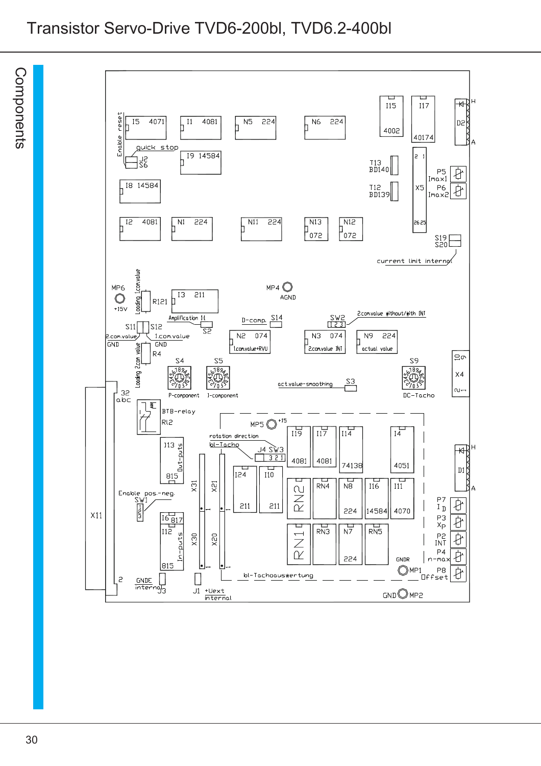# Transistor Servo-Drive TVD6-200bl, TVD6.2-400bl

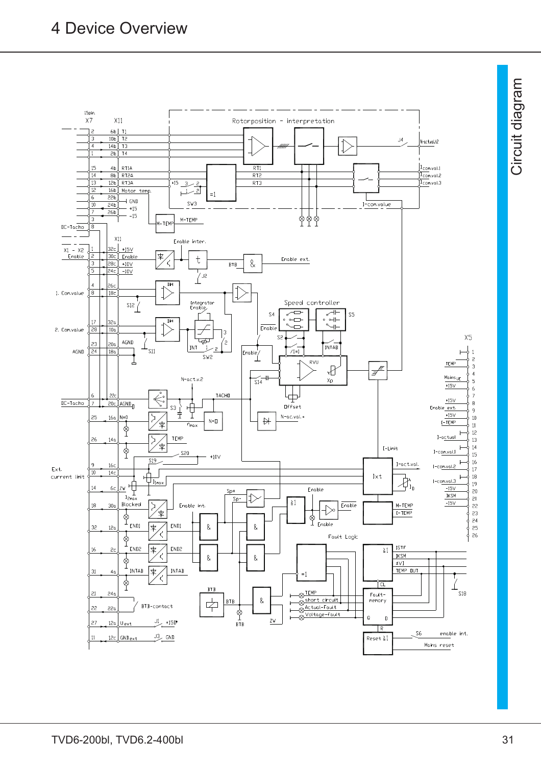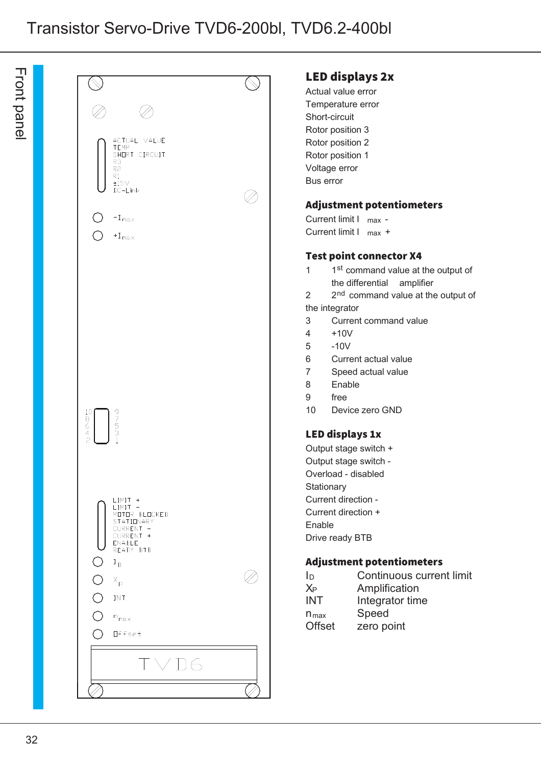ਸ<br>ਹ  $\Xi$ ರ  $\boldsymbol{\omega}$ コ  $\underline{\mathsf{D}}$ 

|                                                                                                                                                                                    | <b>LED</b> d<br>Actual<br>Temper                                                                                                                                                                                                                       |
|------------------------------------------------------------------------------------------------------------------------------------------------------------------------------------|--------------------------------------------------------------------------------------------------------------------------------------------------------------------------------------------------------------------------------------------------------|
| ACTUAL VALUE<br>TEMP<br>SHORT CIRCUIT<br>R3<br>R <sub>2</sub><br>R1<br>$\pm15\vee$<br>$DC-Link$                                                                                    | Short-ci<br>Rotor p<br>Rotor p<br>Rotor p<br>Voltage<br>Bus err                                                                                                                                                                                        |
| $-I_{max}$<br>$+I_{max}$                                                                                                                                                           | <b>Adjust</b><br>Current<br>Current                                                                                                                                                                                                                    |
| $\frac{10}{8}$                                                                                                                                                                     | Test p<br>$\overline{1}$<br>$\mathbf 1$<br>tł<br>$\overline{a}$<br>$\overline{2}$<br>the inte<br>3<br>C<br>$\overline{4}$<br>$\ddot{}$<br>5<br>÷,<br>6<br>$\mathsf{C}$<br>S<br>$\overline{7}$<br>8<br>E<br>f <sub>I</sub><br>9<br>10<br>$\overline{L}$ |
| 97531<br>$\frac{4}{2}$<br>LIMIT +<br>LIMIT -<br>MOTOR BLOCKED<br>STATIONARY                                                                                                        | <b>LED di</b><br>Output<br>Output<br>Overloa<br>Stationa<br>Current<br>Current<br>Enable                                                                                                                                                               |
| CURRENT -<br>CURRENT +<br>ENABLE<br>READY BTB<br>$\bigcirc$<br>$I_{\text{D}}$<br>$\bigcirc$<br>$X_{\mathsf{p}}$<br>$\overline{O}$<br>INT<br>$\bigcirc$<br>$n_{max}$<br>Offset<br>0 | Drive re<br><b>Adjust</b><br>ID<br>$X_{P}$<br><b>INT</b><br>$n_{max}$<br><b>Offset</b>                                                                                                                                                                 |
|                                                                                                                                                                                    |                                                                                                                                                                                                                                                        |
|                                                                                                                                                                                    |                                                                                                                                                                                                                                                        |

#### lisplays 2x

value error rature error ircuit osition 3 osition 2 osition 1 error or

#### tment potentiometers

 $limit I$  max limit  $l$  max  $+$ 

#### oint connector X4

- 1 1 st command value at the output of he differential amplifier
- 2 2 <sup>nd</sup> command value at the output of grator
- **Surrent command value**
- $-10V$
- $10V$
- Current actual value
- Speed actual value
- **Enable**
- ree
- Device zero GND

#### isplays 1x

stage switch  $+$ stage switch ad - disabled ary direction direction + ady BTB

#### tment potentiometers

| In               | Continuous current limit |
|------------------|--------------------------|
| $X_P$            | Amplification            |
| <b>INT</b>       | Integrator time          |
| $n_{\text{max}}$ | Speed                    |
| <b>Offset</b>    | zero point               |
|                  |                          |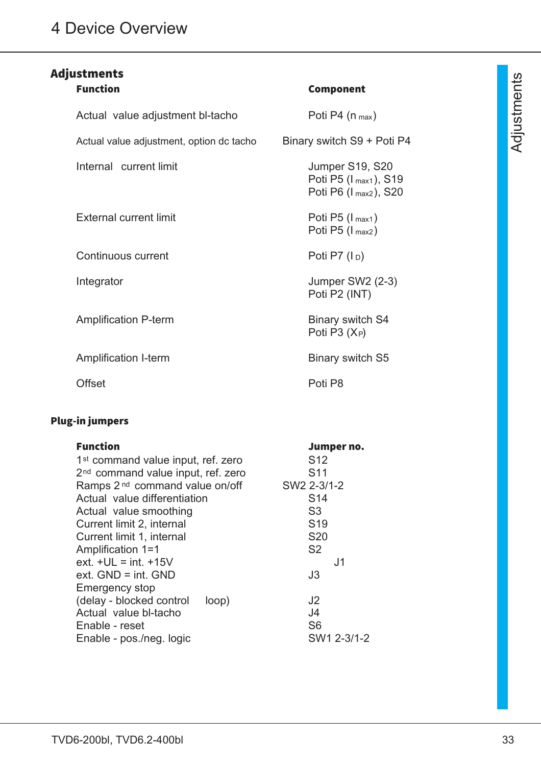# Adjustments

| <b>Function</b>                          | Component                                                         |
|------------------------------------------|-------------------------------------------------------------------|
| Actual value adjustment bl-tacho         | Poti P4 $(n_{max})$                                               |
| Actual value adjustment, option dc tacho | Binary switch S9 + Poti P4                                        |
| Internal current limit                   | Jumper S19, S20<br>Poti P5 (I max1), S19<br>Poti P6 (I max2), S20 |
| <b>External current limit</b>            | Poti P5 $(I_{max1})$<br>Poti P5 $(I_{max2})$                      |
| Continuous current                       | Poti P7 $(\vert_{D})$                                             |
| Integrator                               | Jumper SW2 (2-3)<br>Poti P2 (INT)                                 |
| <b>Amplification P-term</b>              | <b>Binary switch S4</b><br>Poti P3 $(X_P)$                        |
| Amplification I-term                     | Binary switch S5                                                  |
| Offset                                   | Poti P8                                                           |

# Plug-in jumpers

| <b>Function</b>                                | Jumper no.      |
|------------------------------------------------|-----------------|
| 1 <sup>st</sup> command value input, ref. zero | S <sub>12</sub> |
| 2 <sup>nd</sup> command value input, ref. zero | S <sub>11</sub> |
| Ramps 2 <sup>nd</sup> command value on/off     | SW2 2-3/1-2     |
| Actual value differentiation                   | S <sub>14</sub> |
| Actual value smoothing                         | S <sub>3</sub>  |
| Current limit 2, internal                      | S <sub>19</sub> |
| Current limit 1, internal                      | <b>S20</b>      |
| Amplification 1=1                              | S <sub>2</sub>  |
| ext. $+UL = int. +15V$                         | J1              |
| $ext. GND = int. GND$                          | J3              |
| <b>Emergency stop</b>                          |                 |
| (delay - blocked control<br>loop)              | J <sub>2</sub>  |
| Actual value bl-tacho                          | J4              |
| Enable - reset                                 | S <sub>6</sub>  |
| Enable - pos./neg. logic                       | SW1 2-3/1-2     |

# $\triangleleft$ dju stm ወ nt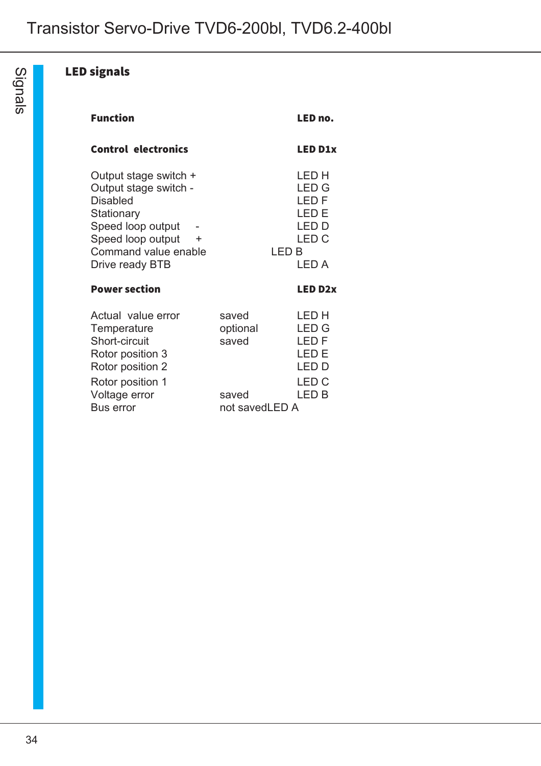# LED signals

| <b>Function</b>                                                                                                                                                           |                            | LED no.                                                                         |
|---------------------------------------------------------------------------------------------------------------------------------------------------------------------------|----------------------------|---------------------------------------------------------------------------------|
| Control electronics                                                                                                                                                       |                            | <b>LED D1x</b>                                                                  |
| Output stage switch +<br>Output stage switch -<br><b>Disabled</b><br>Stationary<br>Speed loop output<br>Speed loop output<br>÷<br>Command value enable<br>Drive ready BTB | LED B                      | LED H<br><b>LED G</b><br>LED F<br>LED E<br>I ED D<br>LED <sub>C</sub><br>I FD A |
| <b>Power section</b>                                                                                                                                                      |                            | <b>LED D2x</b>                                                                  |
| Actual value error<br>Temperature<br>Short-circuit<br>Rotor position 3<br>Rotor position 2<br>Rotor position 1                                                            | saved<br>optional<br>saved | I ED H<br><b>LED G</b><br>LED F<br>I FD F<br>LED D<br>I ED C                    |
| Voltage error<br><b>Bus error</b>                                                                                                                                         | saved<br>not savedLED A    | I FD B                                                                          |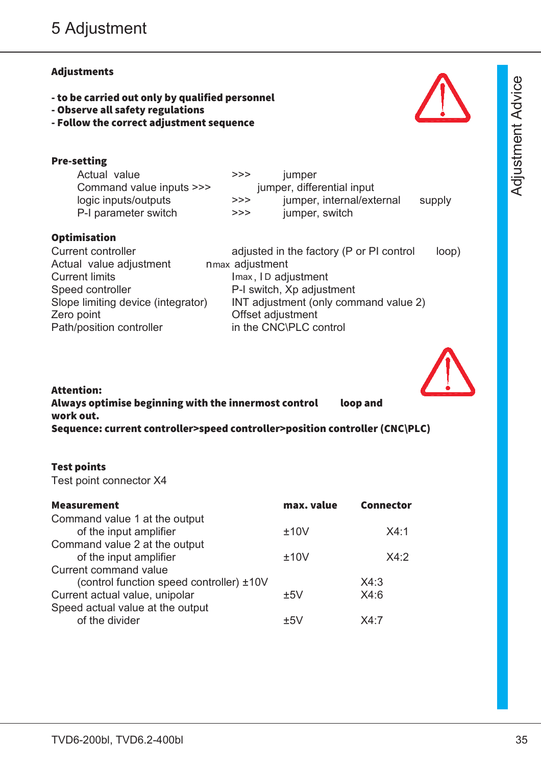### Adjustments

Pre-setting

**Optimisation** 

- to be carried out only by qualified personnel

Actual value adjustment nmax adjustment

Current limits **Imax, ID adjustment** 

Zero point **Zero** point **CERC CERC CERC CERC CERC CERC CERC CERC CERC CERC CERC CERC** 

Speed controller **P-I switch, Xp adjustment** 

Path/position controller in the CNC\PLC control

Actual value **>>>** jumper

Command value inputs >>> jumper, differential input

P-I parameter switch  $\rightarrow \rightarrow \rightarrow$  jumper, switch

logic inputs/outputs **>>>** jumper, internal/external supply

Current controller adjusted in the factory (P or PI control loop)

- Observe all safety regulations
- Follow the correct adjustment sequence



| -<br>-<br>- | -<br>-<br>-<br>- |
|-------------|------------------|

Attention: Always optimise beginning with the innermost control loop and work out. Sequence: current controller>speed controller>position controller (CNC\PLC)

Slope limiting device (integrator) INT adjustment (only command value 2)

#### Test points

Test point connector X4

| max. value | <b>Connector</b> |
|------------|------------------|
|            |                  |
| ±10V       | X4.1             |
|            |                  |
| ±10V       | X4.2             |
|            |                  |
|            | X4:3             |
| ±5V        | X4:6             |
|            |                  |
| $+51$      | X4.7             |
|            |                  |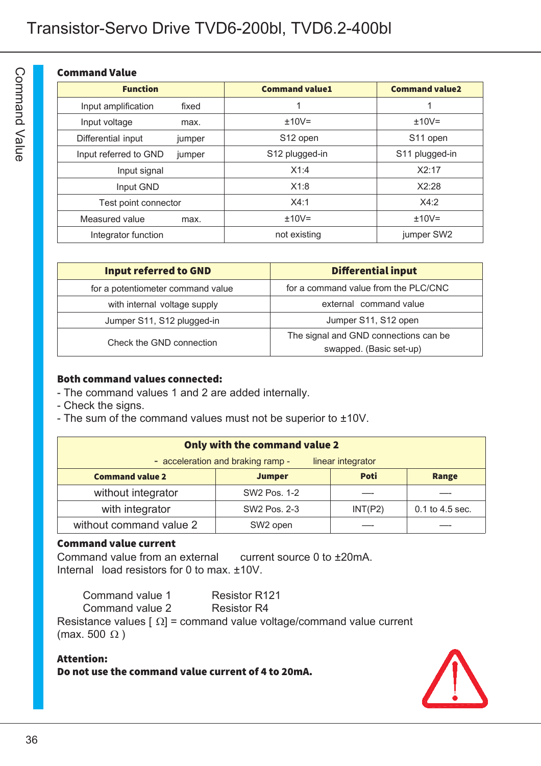#### Command Value

| <b>Function</b>                 | <b>Command value1</b> | <b>Command value2</b> |
|---------------------------------|-----------------------|-----------------------|
| Input amplification<br>fixed    | 1                     |                       |
| Input voltage<br>max.           | $±10V=$               | $±10V=$               |
| Differential input<br>jumper    | S <sub>12</sub> open  | S <sub>11</sub> open  |
| Input referred to GND<br>jumper | S12 plugged-in        | S11 plugged-in        |
| Input signal                    | X1:4                  | X2:17                 |
| Input GND                       | X1:8                  | X2:28                 |
| Test point connector            | X4:1                  | X4:2                  |
| Measured value<br>max.          | $±10V=$               | $±10V=$               |
| Integrator function             | not existing          | jumper SW2            |

| <b>Input referred to GND</b>      | <b>Differential input</b>             |
|-----------------------------------|---------------------------------------|
| for a potentiometer command value | for a command value from the PLC/CNC  |
| with internal voltage supply      | external command value                |
| Jumper S11, S12 plugged-in        | Jumper S11, S12 open                  |
| Check the GND connection          | The signal and GND connections can be |
|                                   | swapped. (Basic set-up)               |

#### Both command values connected:

- The command values 1 and 2 are added internally.
- Check the signs.
- The sum of the command values must not be superior to ±10V.

| Only with the command value 2                                          |              |         |                 |  |
|------------------------------------------------------------------------|--------------|---------|-----------------|--|
| - acceleration and braking ramp -<br>linear integrator                 |              |         |                 |  |
| <b>Poti</b><br><b>Command value 2</b><br><b>Jumper</b><br><b>Range</b> |              |         |                 |  |
| without integrator                                                     | SW2 Pos. 1-2 |         |                 |  |
| with integrator                                                        | SW2 Pos. 2-3 | INT(P2) | 0.1 to 4.5 sec. |  |
| without command value 2                                                | SW2 open     |         |                 |  |

### Command value current

Command value from an external current source 0 to ±20mA. Internal load resistors for 0 to max. ±10V.

| Command value 1 | <b>Resistor R121</b> |
|-----------------|----------------------|
|                 |                      |

Command value 2 Resistor R4

Resistance values  $\lceil \Omega \rceil$  = command value voltage/command value current (max. 500  $\Omega$ )

#### Attention: Do not use the command value current of 4 to 20mA.

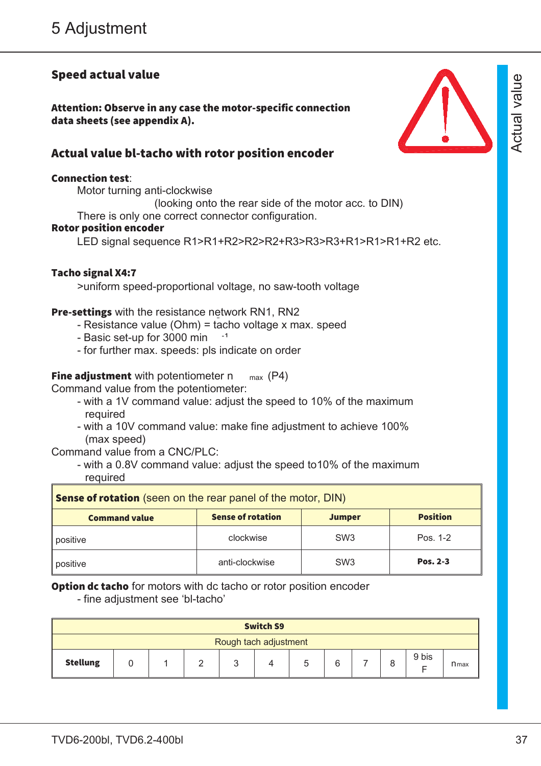# Speed actual value

Attention: Observe in any case the motor-specific connection data sheets (see appendix A).

### Actual value bl-tacho with rotor position encoder

#### Connection test:

Motor turning anti-clockwise (looking onto the rear side of the motor acc. to DIN) There is only one correct connector configuration. Rotor position encoder

LED signal sequence R1>R1+R2>R2>R2+R3>R3>R3+R1>R1>R1+R2 etc.

#### Tacho signal X4:7

>uniform speed-proportional voltage, no saw-tooth voltage

#### Pre-settings with the resistance network RN1, RN2

- Resistance value (Ohm) = tacho voltage x max. speed
- Basic set-up for 3000 min <sup>-1</sup>
- for further max. speeds: pls indicate on order

#### **Fine adjustment** with potentiometer n  $_{max}$  (P4)

Command value from the potentiometer:

- with a 1V command value: adjust the speed to 10% of the maximum required
- with a 10V command value: make fine adjustment to achieve 100% (max speed)

Command value from a CNC/PLC:

- with a 0.8V command value: adjust the speed to10% of the maximum required

| <b>Sense of rotation</b> (seen on the rear panel of the motor, DIN) |                          |                 |                 |  |
|---------------------------------------------------------------------|--------------------------|-----------------|-----------------|--|
| <b>Command value</b>                                                | <b>Sense of rotation</b> | <b>Jumper</b>   | <b>Position</b> |  |
| positive                                                            | clockwise                | SW <sub>3</sub> | Pos. 1-2        |  |
| positive                                                            | anti-clockwise           | SW <sub>3</sub> | Pos. 2-3        |  |

**Option dc tacho** for motors with dc tacho or rotor position encoder

- fine adjustment see 'bl-tacho'

|                 |                       |  |  |  | <b>Switch S9</b> |  |  |       |           |
|-----------------|-----------------------|--|--|--|------------------|--|--|-------|-----------|
|                 | Rough tach adjustment |  |  |  |                  |  |  |       |           |
| <b>Stellung</b> |                       |  |  |  |                  |  |  | 9 bis | $n_{max}$ |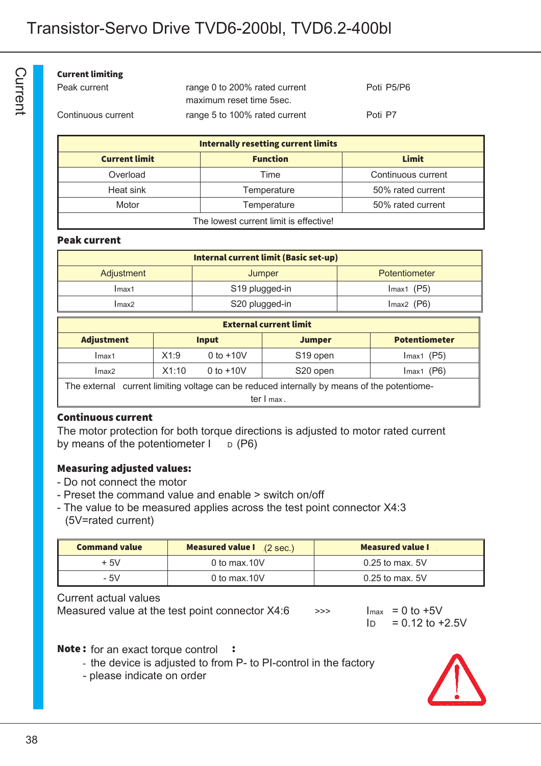#### Current limiting

| Peak current       | range 0 to 200% rated current | Poti P5/P6 |
|--------------------|-------------------------------|------------|
|                    | maximum reset time 5sec.      |            |
| Continuous current | range 5 to 100% rated current | Poti P7    |

| <b>Internally resetting current limits</b> |                 |                    |  |  |
|--------------------------------------------|-----------------|--------------------|--|--|
| <b>Current limit</b>                       | <b>Function</b> | Limit              |  |  |
| Overload                                   | Time            | Continuous current |  |  |
| Heat sink                                  | Temperature     | 50% rated current  |  |  |
| Motor                                      | Temperature     | 50% rated current  |  |  |
| The lowest current limit is effective!     |                 |                    |  |  |

#### Peak current

| <b>Internal current limit (Basic set-up)</b> |                            |               |  |  |
|----------------------------------------------|----------------------------|---------------|--|--|
| Adjustment                                   | Jumper                     | Potentiometer |  |  |
| Imax1                                        | S <sub>19</sub> plugged-in | $Imax1$ (P5)  |  |  |
| Imax2                                        | S20 plugged-in             | $Imax2$ (P6)  |  |  |

| <b>External current limit</b>                                                               |              |             |                      |              |                      |  |
|---------------------------------------------------------------------------------------------|--------------|-------------|----------------------|--------------|----------------------|--|
| <b>Adjustment</b>                                                                           | <b>Input</b> |             | <b>Jumper</b>        |              | <b>Potentiometer</b> |  |
| Imax1                                                                                       | X1:9         | 0 to $+10V$ | S <sub>19</sub> open | $Imax1$ (P5) |                      |  |
| Imax2                                                                                       | X1:10        | 0 to $+10V$ | S <sub>20</sub> open | $Imax1$ (P6) |                      |  |
| The external current limiting voltage can be reduced internally by means of the potentiome- |              |             |                      |              |                      |  |
| ter I max.                                                                                  |              |             |                      |              |                      |  |

#### Continuous current

The motor protection for both torque directions is adjusted to motor rated current by means of the potentiometer  $I_{\text{D}}$  (P6)

#### Measuring adjusted values:

- Do not connect the motor
- Preset the command value and enable > switch on/off
- The value to be measured applies across the test point connector X4:3 (5V=rated current)

| <b>Command value</b> | <b>Measured value I</b> (2 sec.) | <b>Measured value I</b> |
|----------------------|----------------------------------|-------------------------|
| $+5V$                | 0 to max. $10V$                  | $0.25$ to max, 5V       |
| - 5V                 | 0 to max. $10V$                  | $0.25$ to max, 5V       |

#### Current actual values

Measured value at the test point connector  $X4:6$   $\longrightarrow$   $\longrightarrow$  Imax = 0 to +5V

 $In = 0.12$  to  $+2.5V$ 

#### Note: for an exact torque control :

- the device is adjusted to from P- to PI-control in the factory
- please indicate on order

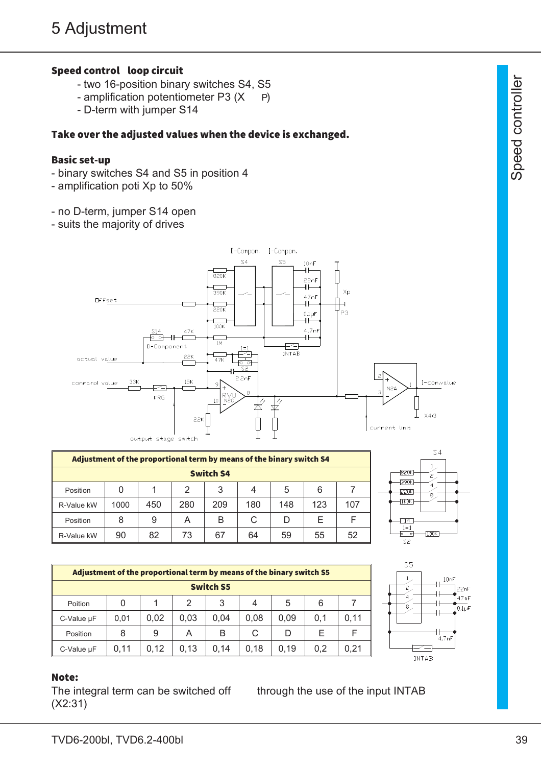### Speed control loop circuit

- two 16-position binary switches S4, S5
- amplification potentiometer P3  $(X P)$
- D-term with jumper S14

#### Take over the adjusted values when the device is exchanged.

#### Basic set-up

- binary switches S4 and S5 in position 4
- amplification poti Xp to 50%
- no D-term, jumper S14 open
- suits the majority of drives



| Adjustment of the proportional term by means of the binary switch S4 |      |     |               |     |     |     |     |     |
|----------------------------------------------------------------------|------|-----|---------------|-----|-----|-----|-----|-----|
| <b>Switch S4</b>                                                     |      |     |               |     |     |     |     |     |
| Position                                                             |      |     | $\mathcal{P}$ | 3   | 4   | 5   | 6   |     |
| R-Value kW                                                           | 1000 | 450 | 280           | 209 | 180 | 148 | 123 | 107 |
| Position                                                             | 8    | 9   | A             | В   | C   | D   | F   |     |
| R-Value kW                                                           | 90   | 82  | 73            | 67  | 64  | 59  | 55  | 52  |



| Adjustment of the proportional term by means of the binary switch S5 |      |      |      |                  |      |      |     |      |
|----------------------------------------------------------------------|------|------|------|------------------|------|------|-----|------|
|                                                                      |      |      |      | <b>Switch S5</b> |      |      |     |      |
| Poition                                                              | 0    | 1    | 2    | 3                | 4    | 5    | 6   |      |
| C-Value µF                                                           | 0,01 | 0.02 | 0.03 | 0.04             | 0.08 | 0.09 | 0.1 | 0.11 |
| Position                                                             | 8    | 9    | A    | В                | C    | D    | F   |      |
| C-Value µF                                                           | 0.11 | 0.12 | 0.13 | 0.14             | 0.18 | 0.19 | 0.2 | 0,21 |



#### Note:

The integral term can be switched off through the use of the input INTAB (X2:31)

ഗ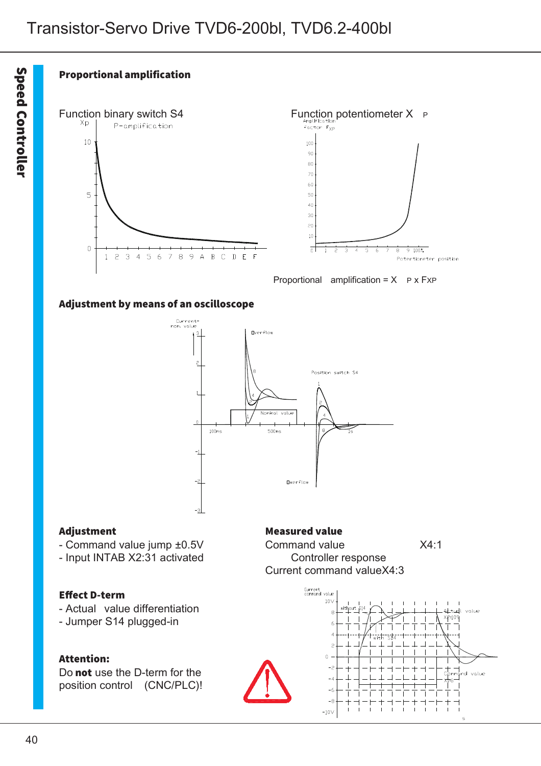



Proportional amplification =  $X$  P x FxP

#### Adjustment by means of an oscilloscope



- Command value jump ±0.5V Command value X4:1
- Input INTAB X2:31 activated Controller response

#### Effect D-term

- Actual value differentiation
- Jumper S14 plugged-in

#### Attention:

Do not use the D-term for the position control (CNC/PLC)!

#### Adjustment Measured value

Current command valueX4:3

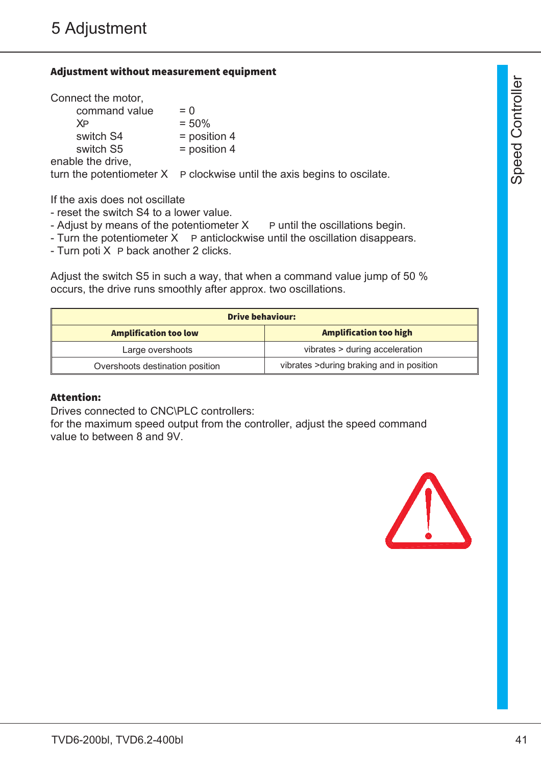#### Adjustment without measurement equipment

| Connect the motor, |                                                                           |
|--------------------|---------------------------------------------------------------------------|
| command value      | $= 0$                                                                     |
| XP                 | $= 50%$                                                                   |
| switch S4          | $=$ position 4                                                            |
| switch S5          | $=$ position 4                                                            |
| enable the drive,  |                                                                           |
|                    | turn the potentiometer $X$ P clockwise until the axis begins to oscilate. |

If the axis does not oscillate

- reset the switch S4 to a lower value.
- Adjust by means of the potentiometer  $X$  P until the oscillations begin.
- Turn the potentiometer  $X$  P anticlockwise until the oscillation disappears.
- Turn poti X P back another 2 clicks.

Adjust the switch S5 in such a way, that when a command value jump of 50 % occurs, the drive runs smoothly after approx. two oscillations.

| <b>Drive behaviour:</b>         |                                           |  |
|---------------------------------|-------------------------------------------|--|
| <b>Amplification too low</b>    | <b>Amplification too high</b>             |  |
| Large overshoots                | vibrates > during acceleration            |  |
| Overshoots destination position | vibrates > during braking and in position |  |

#### Attention:

Drives connected to CNC\PLC controllers:

for the maximum speed output from the controller, adjust the speed command value to between 8 and 9V.

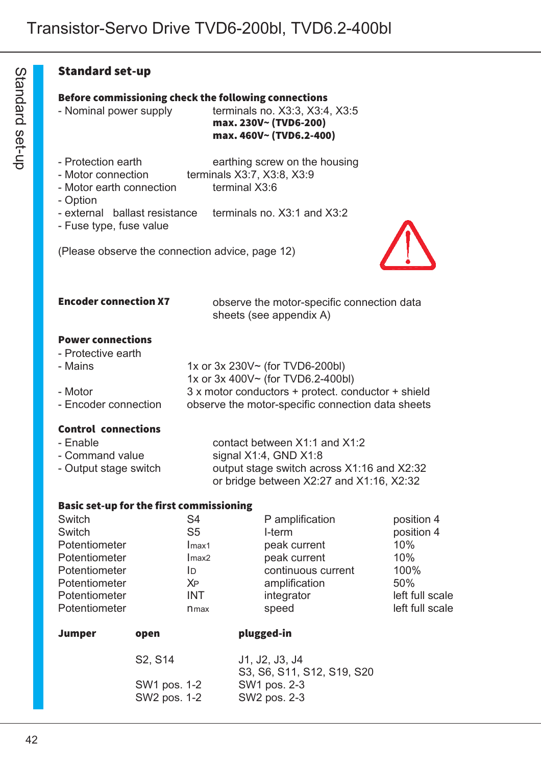#### Standard set-up

### Before commissioning check the following connections

- Nominal power supply terminals no. X3:3, X3:4, X3:5

max. 230V~ (TVD6-200) max. 460V~ (TVD6.2-400)

- Protection earth earthing screw on the housing
- Motor connection terminals X3:7, X3:8, X3:9
- Motor earth connection terminal X3:6
- Option
- external ballast resistance terminals no. X3:1 and X3:2
- Fuse type, fuse value



(Please observe the connection advice, page 12)

| <b>Encoder connection X7</b> | observe the motor-specific connection data |
|------------------------------|--------------------------------------------|
|                              | sheets (see appendix A)                    |

#### Power connections

- Protective earth

| - Mains              | 1x or $3x 230V \sim$ (for TVD6-200bl)              |
|----------------------|----------------------------------------------------|
|                      | 1x or $3x\,400V$ $\sim$ (for TVD6.2-400bl)         |
| - Motor              | 3 x motor conductors + protect. conductor + shield |
| - Encoder connection | observe the motor-specific connection data sheets  |
|                      |                                                    |

#### Control connections

| - Enable              | contact between $X1:1$ and $X1:2$          |
|-----------------------|--------------------------------------------|
| - Command value       | signal $X1:4$ , GND $X1:8$                 |
| - Output stage switch | output stage switch across X1:16 and X2:32 |
|                       | or bridge between X2:27 and X1:16, X2:32   |

#### Basic set-up for the first commissioning

| S4             | P amplification    | position 4      |
|----------------|--------------------|-----------------|
| S <sub>5</sub> | I-term             | position 4      |
| Imax1          | peak current       | 10%             |
| Imax2          | peak current       | 10%             |
| ID             | continuous current | 100%            |
| XP             | amplification      | 50%             |
| <b>INT</b>     | integrator         | left full scale |
| <b>n</b> max   | speed              | left full scale |
|                |                    |                 |

| Jumper | open | plugged-in |
|--------|------|------------|
|        |      |            |

| S <sub>2</sub> , S <sub>14</sub> | J1, J2, J3, J4             |
|----------------------------------|----------------------------|
|                                  | S3, S6, S11, S12, S19, S20 |
| SW1 pos. 1-2                     | SW1 pos. 2-3               |
| SW2 pos. 1-2                     | SW2 pos. 2-3               |
|                                  |                            |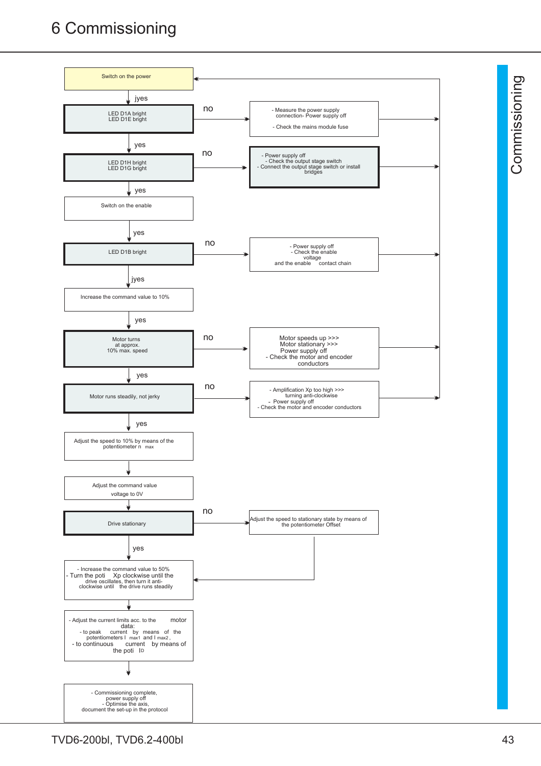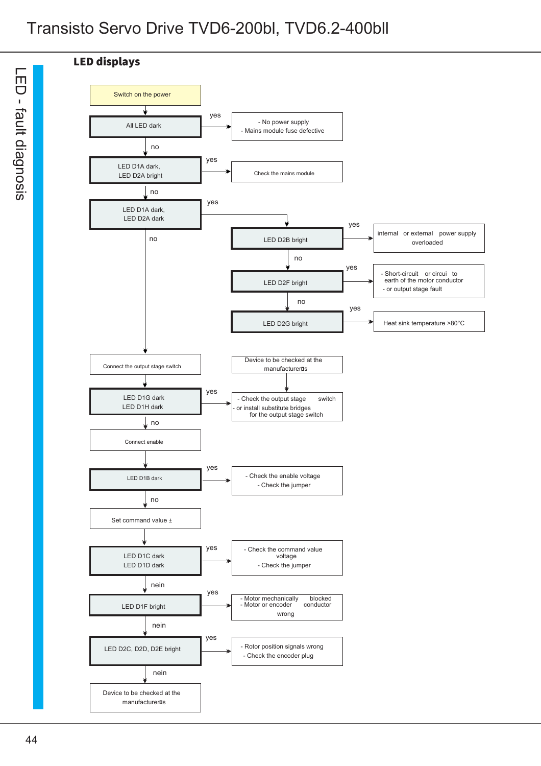



 $\overline{\phantom{1}}$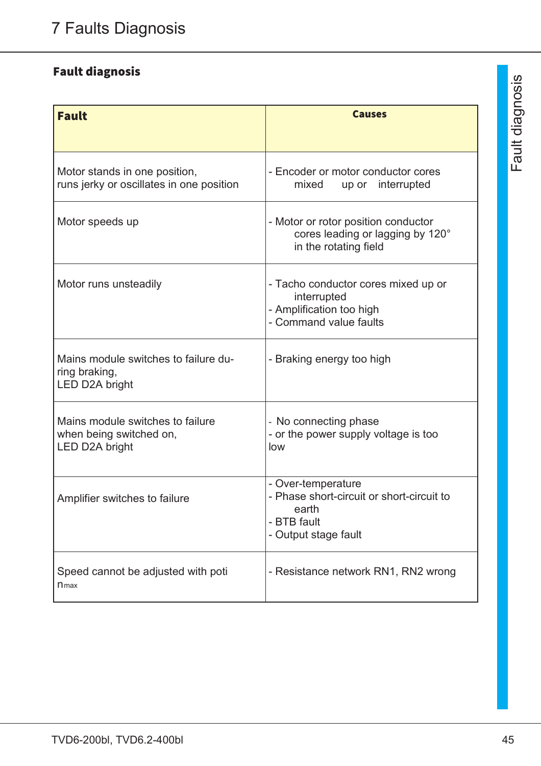# Fault diagnosis

| <b>Fault</b>                                                                  | <b>Causes</b>                                                                                                   |
|-------------------------------------------------------------------------------|-----------------------------------------------------------------------------------------------------------------|
| Motor stands in one position,<br>runs jerky or oscillates in one position     | - Encoder or motor conductor cores<br>mixed<br>up or interrupted                                                |
| Motor speeds up                                                               | - Motor or rotor position conductor<br>cores leading or lagging by 120°<br>in the rotating field                |
| Motor runs unsteadily                                                         | - Tacho conductor cores mixed up or<br>interrupted<br>- Amplification too high<br>- Command value faults        |
| Mains module switches to failure du-<br>ring braking,<br>LED D2A bright       | - Braking energy too high                                                                                       |
| Mains module switches to failure<br>when being switched on,<br>LED D2A bright | - No connecting phase<br>- or the power supply voltage is too<br>low                                            |
| Amplifier switches to failure                                                 | - Over-temperature<br>- Phase short-circuit or short-circuit to<br>earth<br>- BTB fault<br>- Output stage fault |
| Speed cannot be adjusted with poti<br>$n_{max}$                               | - Resistance network RN1, RN2 wrong                                                                             |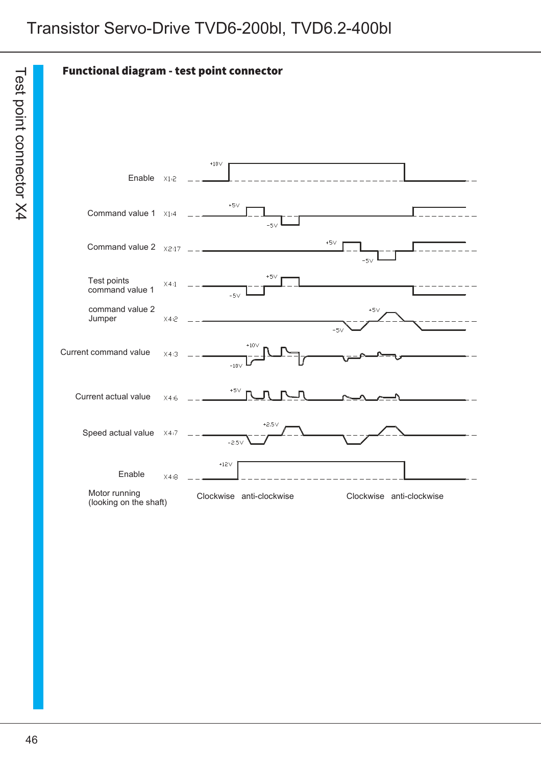Functional diagram - test point connector

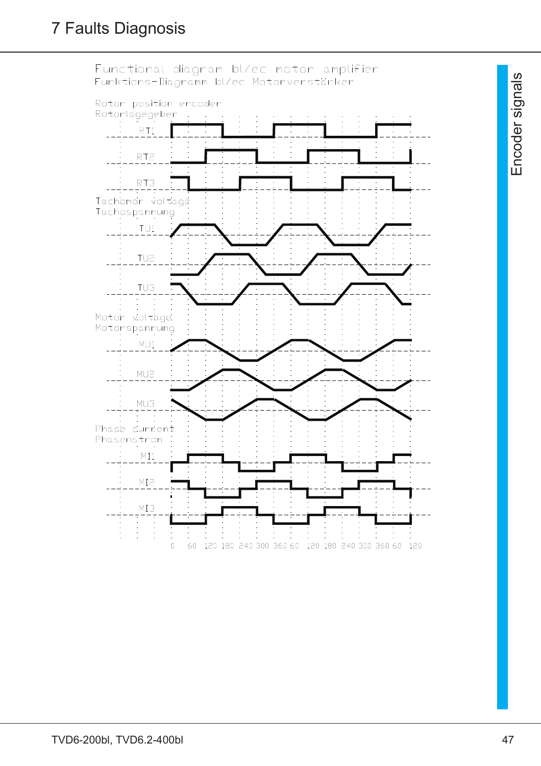

 $\sqcup$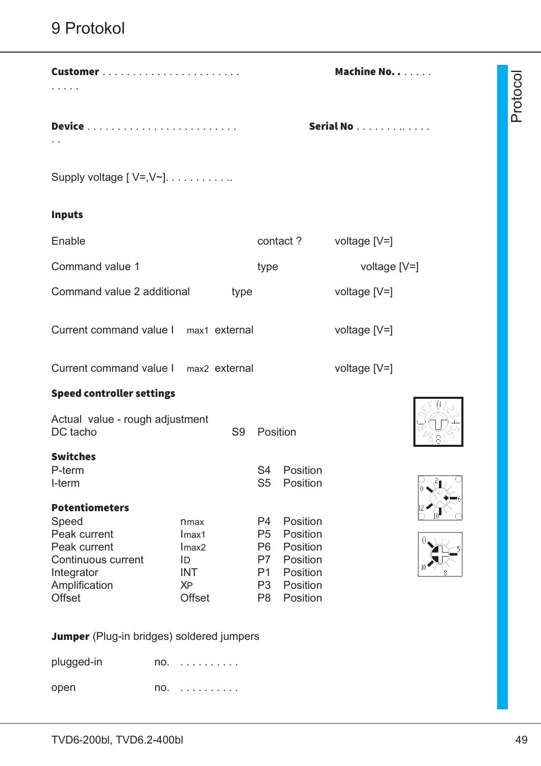| Customer                                                                                                                             |                                                                                      |                | <b>Machine No. .</b>                                                                               |                                                                                  |                | Protoco |
|--------------------------------------------------------------------------------------------------------------------------------------|--------------------------------------------------------------------------------------|----------------|----------------------------------------------------------------------------------------------------|----------------------------------------------------------------------------------|----------------|---------|
|                                                                                                                                      |                                                                                      |                |                                                                                                    |                                                                                  | Serial No      |         |
| Supply voltage $[V=, V^{\sim}]$                                                                                                      |                                                                                      |                |                                                                                                    |                                                                                  |                |         |
| <b>Inputs</b>                                                                                                                        |                                                                                      |                |                                                                                                    |                                                                                  |                |         |
| Enable                                                                                                                               |                                                                                      |                |                                                                                                    | contact?                                                                         | voltage [V=]   |         |
| Command value 1                                                                                                                      |                                                                                      |                | type                                                                                               |                                                                                  | voltage $[V=]$ |         |
| Command value 2 additional                                                                                                           |                                                                                      | type           |                                                                                                    |                                                                                  | voltage $[V=]$ |         |
| Current command value I max1 external                                                                                                |                                                                                      |                |                                                                                                    |                                                                                  | voltage $[V=]$ |         |
| Current command value I max2 external                                                                                                |                                                                                      |                |                                                                                                    |                                                                                  | voltage $[V=]$ |         |
| <b>Speed controller settings</b>                                                                                                     |                                                                                      |                |                                                                                                    |                                                                                  |                |         |
| Actual value - rough adjustment<br>DC tacho                                                                                          |                                                                                      | S <sub>9</sub> | Position                                                                                           |                                                                                  |                |         |
| <b>Switches</b><br>P-term<br>I-term                                                                                                  |                                                                                      |                | S <sub>4</sub><br>S <sub>5</sub>                                                                   | Position<br>Position                                                             |                |         |
| <b>Potentiometers</b><br>Speed<br>Peak current<br>Peak current<br>Continuous current<br>Integrator<br>Amplification<br><b>Offset</b> | nmax<br>Imax1<br>Imax <sub>2</sub><br>ID<br><b>INT</b><br><b>XP</b><br><b>Offset</b> |                | P4<br>P <sub>5</sub><br>P <sub>6</sub><br>P7<br>P <sub>1</sub><br>P <sub>3</sub><br>P <sub>8</sub> | Position<br>Position<br>Position<br>Position<br>Position<br>Position<br>Position |                |         |
| Iumner (Plug-in bridges) soldered jumners                                                                                            |                                                                                      |                |                                                                                                    |                                                                                  |                |         |

**Jumper** (Plug-in bridges) soldered jumpers

plugged-in no. . . . . . . . . . . open no. . . . . . . . . . .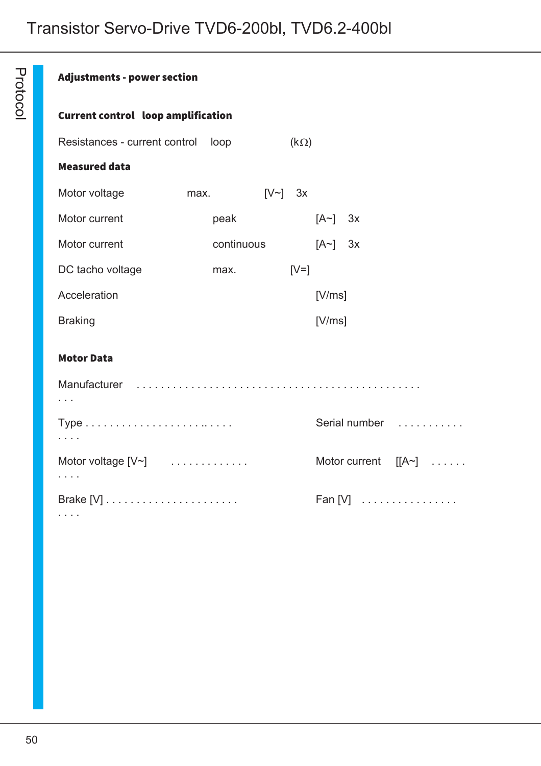# Adjustments - power section

P r oto

 $\mathsf{\Omega}$  $\underline{\circ}$ 

#### Current control loop amplification

| Resistances - current control |      | loop       |              | $(k\Omega)$ |           |                               |
|-------------------------------|------|------------|--------------|-------------|-----------|-------------------------------|
| <b>Measured data</b>          |      |            |              |             |           |                               |
| Motor voltage                 | max. |            | $[V\sim]$ 3x |             |           |                               |
| Motor current                 |      | peak       |              |             | $[A~]$ 3x |                               |
| Motor current                 |      | continuous |              |             | $[A~]$ 3x |                               |
| DC tacho voltage              |      | max.       |              | $[V=]$      |           |                               |
| Acceleration                  |      |            |              |             | [V/ms]    |                               |
| <b>Braking</b>                |      |            |              |             | [V/ms]    |                               |
| <b>Motor Data</b>             |      |            |              |             |           |                               |
|                               |      |            |              |             |           |                               |
| $\sim 100$ $\mu$              |      |            |              |             |           | Serial number                 |
| Motor voltage $[V^{\sim}]$    |      |            |              |             |           | Motor current $[[A~] \dots$ . |
|                               |      |            |              |             |           | $Fan[V]$                      |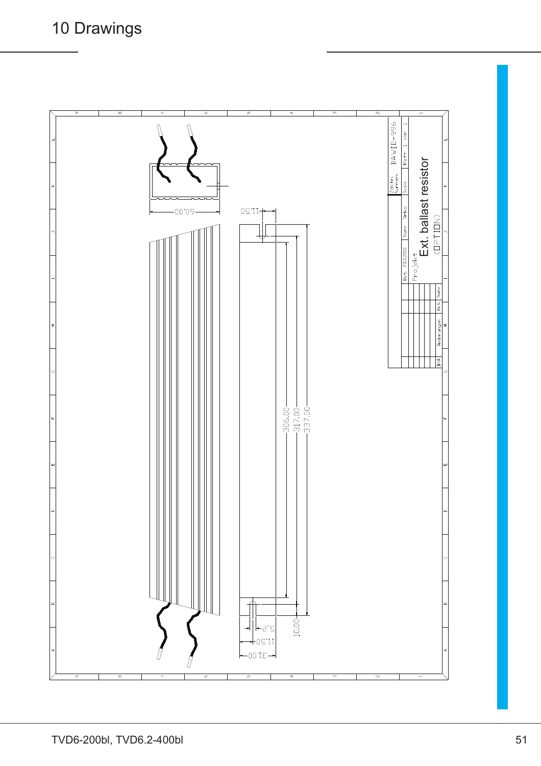